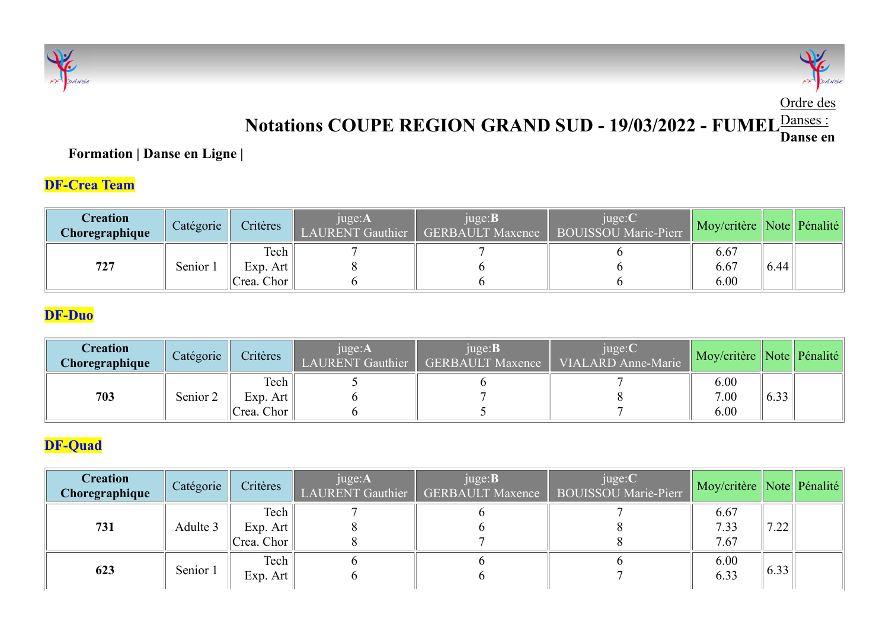



#### Notations COUPE REGION GRAND SUD - 19/03/2022 - FUMEL Danses: Danse en

#### Formation | Danse en Ligne |

### DF-Crea Team

| <b>CONTROLLED DANSE</b>                                  |           |                                |                                   |                                           | Notations COUPE REGION GRAND SUD - 19/03/2022 - FUMEL <sup>Danses:</sup> |                           |      | DANSE<br>FE<br>Ordre des |
|----------------------------------------------------------|-----------|--------------------------------|-----------------------------------|-------------------------------------------|--------------------------------------------------------------------------|---------------------------|------|--------------------------|
| <b>Formation   Danse en Ligne</b><br><b>DF-Crea Team</b> |           |                                |                                   |                                           |                                                                          |                           |      | Danse en                 |
| <b>Creation</b><br>Choregraphique                        | Catégorie | Critères                       | juge:A<br><b>LAURENT</b> Gauthier | juge:B<br><b>GERBAULT Maxence</b>         | juge:C<br>BOUISSOU Marie-Pierr                                           | Moy/critère Note Pénalité |      |                          |
| 727                                                      | Senior 1  | Tech<br>Exp. Art<br>Crea. Chor | 8<br>6                            | 6<br>6                                    | $\mathfrak b$<br>6<br>6                                                  | 6.67<br>6.67<br>6.00      | 6.44 |                          |
| <b>DF-Duo</b>                                            |           |                                |                                   |                                           |                                                                          |                           |      |                          |
| <b>Creation</b><br>Choregraphique                        | Catégorie | Critères                       | juge:A<br><b>LAURENT</b> Gauthier | juge: <b>B</b><br><b>GERBAULT Maxence</b> | juge:C<br>VIALARD Anne-Marie                                             | Moy/critère Note Pénalité |      |                          |
| 703                                                      | Senior 2  | Tech<br>Exp. Art<br>Crea. Chor | 5<br>6<br>6                       | 6<br>5                                    | 8                                                                        | 6.00<br>7.00<br>6.00      | 6.33 |                          |

#### DF-Duo

| <b>Creation</b><br>Choregraphique | Catégorie | Critères       | $juge: AENT Gauthier$ | juge:B<br><b>GERBAULT Maxence</b> | juge:C<br>VIALARD Anne-Marie | Moy/critère Note Pénalité |                   |  |
|-----------------------------------|-----------|----------------|-----------------------|-----------------------------------|------------------------------|---------------------------|-------------------|--|
|                                   |           | Tech           |                       |                                   |                              | 6.00                      |                   |  |
| 703                               | Senior 2  | $Exp.$ Art $ $ |                       |                                   |                              | 7.00                      | $\sim$ 22<br>0.33 |  |
|                                   |           | Crea. Chor     |                       |                                   |                              | 6.00                      |                   |  |

### DF-Quad

| <b>Creation</b><br>Choregraphique | Catégorie | Critères                       | juge:A<br>LAURENT Gauthier        | juge: <b>B</b><br><b>GERBAULT Maxence</b> | juge:C<br><b>BOUISSOU Marie-Pierr</b> | Moy/critère Note Pénalité |      |  |
|-----------------------------------|-----------|--------------------------------|-----------------------------------|-------------------------------------------|---------------------------------------|---------------------------|------|--|
| 727                               | Senior 1  | Tech<br>Exp. Art<br>Crea. Chor | 8<br>$\mathfrak b$                | $\mathfrak b$                             |                                       | 6.67<br>6.67<br>6.00      | 6.44 |  |
| <b>DF-Duo</b>                     |           |                                |                                   |                                           |                                       |                           |      |  |
| <b>Creation</b><br>Choregraphique | Catégorie | Critères                       | juge:A<br><b>LAURENT</b> Gauthier | juge:B<br><b>GERBAULT Maxence</b>         | juge:C<br><b>VIALARD Anne-Marie</b>   | Moy/critère Note Pénalité |      |  |
| 703                               | Senior 2  | Tech<br>Exp. Art<br>Crea. Chor | 5<br>$\mathfrak b$<br>6           | 6                                         |                                       | 6.00<br>7.00<br>6.00      | 6.33 |  |
| <b>DF-Quad</b>                    |           |                                |                                   |                                           |                                       |                           |      |  |
| <b>Creation</b><br>Choregraphique | Catégorie | Critères                       | juge:A<br><b>LAURENT</b> Gauthier | juge: <b>B</b><br><b>GERBAULT Maxence</b> | juge:C<br><b>BOUISSOU Marie-Pierr</b> | Moy/critère Note Pénalité |      |  |
| 731                               | Adulte 3  | Tech<br>Exp. Art<br>Crea. Chor | 8<br>8                            | 6                                         |                                       | 6.67<br>7.33<br>7.67      | 7.22 |  |
| 623                               | Senior 1  | Tech<br>Exp. Art               | 6<br>$\theta$                     | $\sigma$<br>6                             |                                       | 6.00<br>6.33              | 6.33 |  |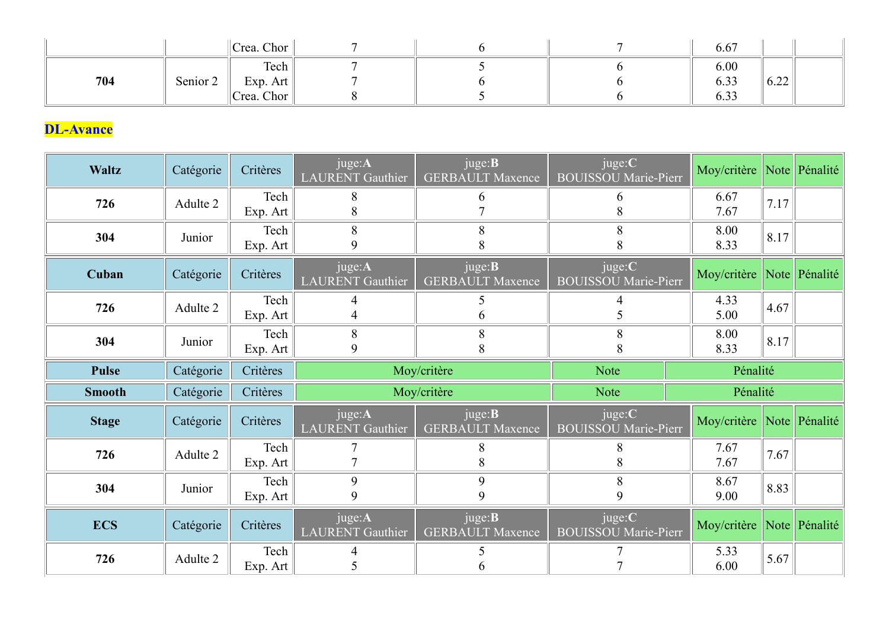|     |          | Crea. Chor           | $7\overline{ }$         | 6                        | $\tau$ | 6.67         |      |  |
|-----|----------|----------------------|-------------------------|--------------------------|--------|--------------|------|--|
|     |          | $\ $ Tech            | $\tau$                  | $\overline{\mathcal{L}}$ | 6      | 6.00         |      |  |
| 704 | Senior 2 | Exp. Art $\ $        | $\overline{7}$<br>$8\,$ | 6                        | 6<br>6 | 6.33<br>6.33 | 6.22 |  |
|     |          | $\ $ Crea. Chor $\ $ |                         |                          |        |              |      |  |

# DL-Avance

|                  |           | Crea. Chor       | $\tau$                            | 6                                         | $\tau$                                | 6.67                      |      |  |
|------------------|-----------|------------------|-----------------------------------|-------------------------------------------|---------------------------------------|---------------------------|------|--|
| 704              | Senior 2  | Tech<br>Exp. Art | $\tau$                            | 5<br>6                                    | 6<br>b                                | 6.00<br>6.33              | 6.22 |  |
|                  |           | Crea. Chor       | 8                                 | 5                                         | 6                                     | 6.33                      |      |  |
| <b>DL-Avance</b> |           |                  |                                   |                                           |                                       |                           |      |  |
| Waltz            | Catégorie | Critères         | juge:A<br><b>LAURENT</b> Gauthier | juge: <b>B</b><br><b>GERBAULT Maxence</b> | juge:C<br><b>BOUISSOU</b> Marie-Pierr | Moy/critère Note Pénalité |      |  |
| 726              | Adulte 2  | Tech<br>Exp. Art | 8<br>8                            | 6                                         | $\mathfrak b$<br>8                    | 6.67<br>7.67              | 7.17 |  |
| 304              | Junior    | Tech<br>Exp. Art | 8<br>9                            | 8<br>8                                    | 8<br>8                                | 8.00<br>8.33              | 8.17 |  |
| Cuban            | Catégorie | Critères         | juge:A<br>LAURENT Gauthier        | juge: <b>B</b><br><b>GERBAULT Maxence</b> | juge:C<br><b>BOUISSOU Marie-Pierr</b> | Moy/critère Note Pénalité |      |  |
| 726              | Adulte 2  | Tech<br>Exp. Art | $\overline{4}$<br>$\overline{4}$  | 5<br>6                                    |                                       | 4.33<br>5.00              | 4.67 |  |
| 304              | Junior    | Tech<br>Exp. Art | 8<br>9                            | 8<br>8                                    | 8<br>8                                | 8.00<br>8.33              | 8.17 |  |
| <b>Pulse</b>     | Catégorie | Critères         |                                   | Moy/critère                               | Note                                  | Pénalité                  |      |  |
| <b>Smooth</b>    | Catégorie | Critères         |                                   | Moy/critère                               | Note                                  | Pénalité                  |      |  |
| <b>Stage</b>     | Catégorie | Critères         | juge:A<br><b>LAURENT</b> Gauthier | juge: <b>B</b><br><b>GERBAULT</b> Maxence | juge:C<br><b>BOUISSOU</b> Marie-Pierr | Moy/critère Note Pénalité |      |  |
| 726              | Adulte 2  | Tech<br>Exp. Art | 7<br>7                            | 8<br>8                                    | 8<br>8                                | 7.67<br>7.67              | 7.67 |  |
| 304              | Junior    | Tech<br>Exp. Art | 9<br>9                            | 9<br>$\mathbf Q$                          | 8<br>9                                | 8.67<br>9.00              | 8.83 |  |
| <b>ECS</b>       | Catégorie | Critères         | juge:A<br><b>LAURENT</b> Gauthier | juge: <b>B</b><br><b>GERBAULT Maxence</b> | juge:C<br><b>BOUISSOU Marie-Pierr</b> | Moy/critère Note Pénalité |      |  |
| 726              | Adulte 2  | Tech<br>Exp. Art | 4<br>5                            | 5 <sub>1</sub><br>6                       | $\tau$                                | 5.33<br>6.00              | 5.67 |  |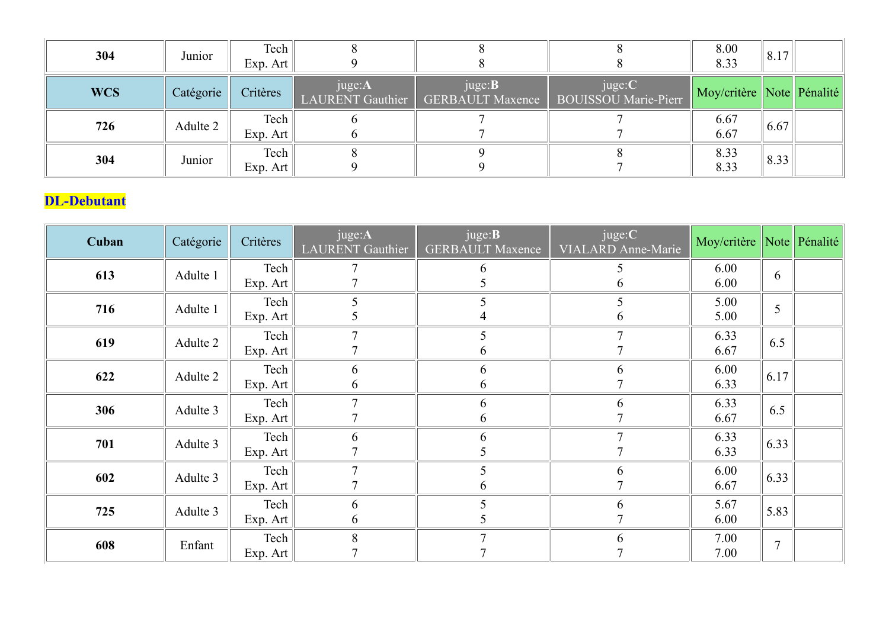| 304                | Junior    | Tech<br>Exp. Art | $\,8\,$<br>9                     | 8<br>8                                    | $8\phantom{.0}$<br>8                  | 8.00<br>8.33              | 8.17 |  |
|--------------------|-----------|------------------|----------------------------------|-------------------------------------------|---------------------------------------|---------------------------|------|--|
| <b>WCS</b>         | Catégorie | Critères         | juge:A<br>LAURENT Gauthier       | juge: <b>B</b><br><b>GERBAULT</b> Maxence | juge:C<br><b>BOUISSOU</b> Marie-Pierr | Moy/critère Note Pénalité |      |  |
| 726                | Adulte 2  | Tech<br>Exp. Art | 6<br>6                           | $\overline{7}$                            | $\overline{7}$                        | 6.67<br>6.67              | 6.67 |  |
| 304                | Junior    | Tech<br>Exp. Art | $8\,$<br>9                       | 9<br>9                                    | 8<br>$\overline{7}$                   | 8.33<br>8.33              | 8.33 |  |
|                    |           |                  |                                  |                                           |                                       |                           |      |  |
| <b>DL-Debutant</b> |           |                  |                                  |                                           |                                       |                           |      |  |
| Cuban              | Catégorie | Critères         | juge:A<br>LAURENT Gauthier       | juge: <b>B</b><br><b>GERBAULT Maxence</b> | juge:C<br>VIALARD Anne-Marie          | Moy/critère Note Pénalité |      |  |
| 613                | Adulte 1  | Tech<br>Exp. Art | $\overline{7}$<br>$\overline{7}$ | 6<br>5                                    | 5<br>6                                | 6.00<br>6.00              | 6    |  |

#### DL-Debutant

| Cuban | Catégorie | Critères         | juge:A<br><b>LAURENT</b> Gauthier | juge: <b>B</b><br><b>GERBAULT Maxence</b> | juge:C<br><b>VIALARD Anne-Marie</b> | Moy/critère Note Pénalité |                |  |
|-------|-----------|------------------|-----------------------------------|-------------------------------------------|-------------------------------------|---------------------------|----------------|--|
| 613   | Adulte 1  | Tech<br>Exp. Art |                                   | 6                                         | 6                                   | 6.00<br>6.00              | 6              |  |
| 716   | Adulte 1  | Tech<br>Exp. Art | 5                                 | 5                                         | 5                                   | 5.00<br>5.00              | 5              |  |
| 619   | Adulte 2  | Tech<br>Exp. Art |                                   | O                                         |                                     | 6.33<br>6.67              | 6.5            |  |
| 622   | Adulte 2  | Tech<br>Exp. Art | 6<br>$\theta$                     | 6<br>6                                    | 6                                   | 6.00<br>6.33              | 6.17           |  |
| 306   | Adulte 3  | Tech<br>Exp. Art | $\overline{ }$                    | 6<br>6                                    | 6                                   | 6.33<br>6.67              | 6.5            |  |
| 701   | Adulte 3  | Tech<br>Exp. Art | 6                                 | 6                                         |                                     | 6.33<br>6.33              | 6.33           |  |
| 602   | Adulte 3  | Tech<br>Exp. Art | $\overline{7}$                    | 5<br>6                                    | 6                                   | 6.00<br>6.67              | 6.33           |  |
| 725   | Adulte 3  | Tech<br>Exp. Art | 6<br>6                            |                                           | 6                                   | 5.67<br>6.00              | 5.83           |  |
| 608   | Enfant    | Tech<br>Exp. Art | 8                                 | $\mathbf{r}$                              | 6                                   | 7.00<br>7.00              | $\overline{7}$ |  |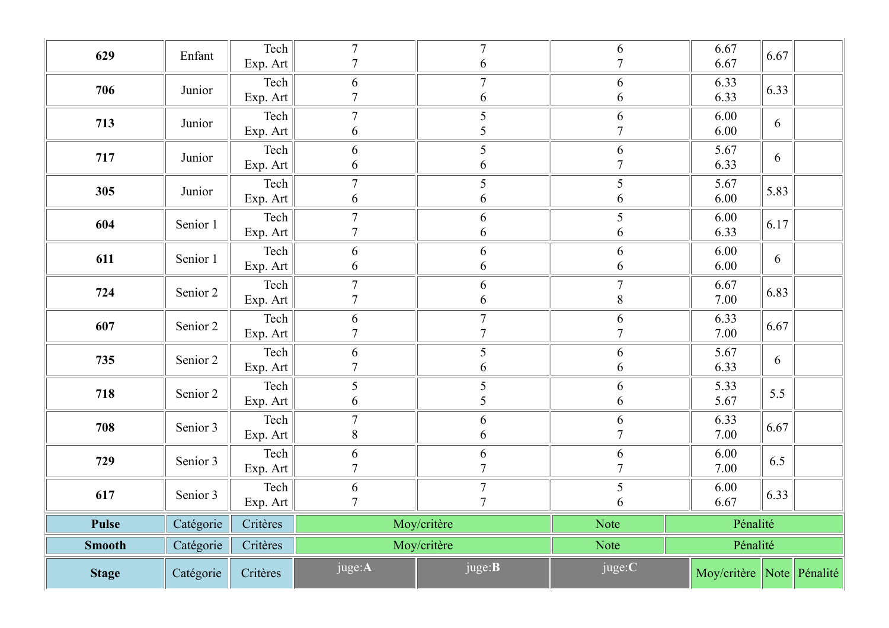| 629           | Enfant    | Exp. Art<br>Tech | $\overline{7}$<br>6              | 6<br>$\tau$                      | 6                    | 6.67<br>6.67<br>6.33      |  |
|---------------|-----------|------------------|----------------------------------|----------------------------------|----------------------|---------------------------|--|
| 706           | Junior    | Exp. Art         | $\overline{7}$                   | 6                                | $\mathfrak b$        | 6.33<br>6.33              |  |
| 713           | Junior    | Tech<br>Exp. Art | $\overline{7}$<br>6              | 5<br>5                           | 6                    | 6.00<br>6<br>6.00         |  |
| 717           | Junior    | Tech<br>Exp. Art | 6<br>6                           | 5<br>6                           | 6                    | 5.67<br>6<br>6.33         |  |
| 305           | Junior    | Tech<br>Exp. Art | $\tau$<br>6                      | 5<br>6                           | $5\overline{)}$<br>6 | 5.67<br>5.83<br>6.00      |  |
| 604           | Senior 1  | Tech<br>Exp. Art | $\overline{7}$<br>$\overline{7}$ | 6<br>6                           | 5 <sup>5</sup><br>6  | 6.00<br>6.17<br>6.33      |  |
| 611           | Senior 1  | Tech<br>Exp. Art | 6<br>6                           | 6<br>6                           | 6<br>6               | 6.00<br>6<br>6.00         |  |
| 724           | Senior 2  | Tech<br>Exp. Art | $\tau$<br>7                      | 6<br>6                           | $\tau$<br>8          | 6.67<br>6.83<br>7.00      |  |
| 607           | Senior 2  | Tech<br>Exp. Art | 6<br>$\overline{7}$              | $\overline{7}$                   | 6                    | 6.33<br>6.67<br>7.00      |  |
| 735           | Senior 2  | Tech<br>Exp. Art | 6<br>$7\phantom{.0}$             | 5<br>6                           | 6<br>6               | 5.67<br>6<br>6.33         |  |
| 718           | Senior 2  | Tech<br>Exp. Art | 5<br>6                           | 5<br>5                           | 6<br>6               | 5.33<br>5.5<br>5.67       |  |
| 708           | Senior 3  | Tech<br>Exp. Art | $\overline{7}$<br>$8\,$          | 6<br>6                           | 6                    | 6.33<br>6.67<br>7.00      |  |
| 729           | Senior 3  | Tech<br>Exp. Art | 6<br>$\overline{7}$              | 6<br>$\mathbf{z}$                | 6                    | 6.00<br>6.5<br>7.00       |  |
| 617           | Senior 3  | Tech<br>Exp. Art | 6<br>$\overline{7}$              | $\overline{7}$<br>$\overline{7}$ | 5<br>6               | 6.00<br>6.33<br>6.67      |  |
| <b>Pulse</b>  | Catégorie | Critères         |                                  | Moy/critère                      | Note                 | Pénalité                  |  |
| <b>Smooth</b> | Catégorie | Critères         |                                  | Moy/critère                      | Note                 | Pénalité                  |  |
| <b>Stage</b>  | Catégorie | Critères         | juge:A                           | juge: <b>B</b>                   | juge:C               | Moy/critère Note Pénalité |  |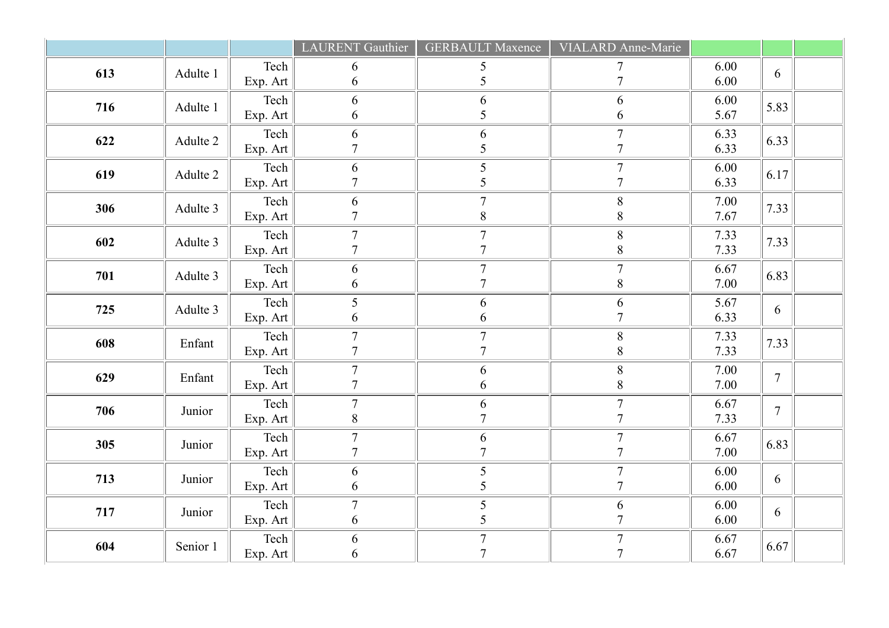|     |          |                                        | <b>LAURENT</b> Gauthier            | <b>GERBAULT Maxence</b>            | VIALARD Anne-Marie                 |                  |                |  |
|-----|----------|----------------------------------------|------------------------------------|------------------------------------|------------------------------------|------------------|----------------|--|
| 613 | Adulte 1 | Tech<br>Exp. Art                       | 6<br>6                             | 5<br>5                             | 7                                  | 6.00<br>6.00     | 6              |  |
| 716 | Adulte 1 | Tech<br>Exp. Art                       | 6<br>$\boldsymbol{6}$              | 6<br>5                             | 6<br>6                             | 6.00<br>5.67     | 5.83           |  |
| 622 | Adulte 2 | $\text{Techn}$<br>Exp. Art             | 6<br>$\overline{7}$                | $\sqrt{6}$<br>5                    | $\tau$                             | 6.33<br>6.33     | 6.33           |  |
| 619 | Adulte 2 | $\text{Techn}$<br>Exp. Art             | 6<br>$\overline{7}$                | 5<br>5                             | $\overline{7}$<br>7                | 6.00<br>6.33     | 6.17           |  |
| 306 | Adulte 3 | $\text{Techn}$<br>Exp. Art             | 6<br>$\overline{7}$                | $\overline{7}$<br>$8\,$            | $8\,$<br>$\,$ $\,$                 | 7.00<br>$7.67\,$ | 7.33           |  |
| 602 | Adulte 3 | $\text{Techn}$<br>Exp. Art $\ $        | $\tau$<br>$\boldsymbol{7}$         | $\overline{7}$<br>$\sqrt{ }$       | $8\,$<br>$8\,$                     | 7.33<br>7.33     | 7.33           |  |
| 701 | Adulte 3 | $\text{Techn}$<br>Exp. Art $\ $        | 6<br>6                             | $\overline{7}$<br>$\overline{7}$   | $\overline{7}$<br>$8\,$            | 6.67<br>7.00     | 6.83           |  |
| 725 | Adulte 3 | $\text{Techn}$<br>Exp. Art             | 5<br>$\boldsymbol{6}$              | 6<br>6                             | 6<br>$\overline{7}$                | 5.67<br>6.33     | $\overline{6}$ |  |
| 608 | Enfant   | $\text{Techn}$<br>Exp. Art $\vert$     | $\tau$<br>$\overline{7}$           | $\boldsymbol{7}$<br>$\overline{7}$ | $8\,$<br>$8\,$                     | 7.33<br>7.33     | 7.33           |  |
| 629 | Enfant   | $\text{Techn}$<br>Exp. Art $\vert$     | $\boldsymbol{7}$<br>$\overline{7}$ | 6<br>6                             | $8\,$<br>$8\,$                     | 7.00<br>7.00     | $\overline{7}$ |  |
| 706 | Junior   | $\text{Techn}$<br>$\mathbf{Exp}$ . Art | $\tau$<br>$\,$ $\,$                | $\frac{6}{7}$                      | $\tau$<br>$\overline{7}$           | 6.67<br>7.33     | $\overline{7}$ |  |
| 305 | Junior   | $\text{Techn}$<br>Exp. Art $\vert$     | $\boldsymbol{7}$<br>$\overline{7}$ | 6<br>$\overline{7}$                | $\overline{7}$<br>$\overline{7}$   | 6.67<br>7.00     | 6.83           |  |
| 713 | Junior   | $\text{Techn}$<br>Exp. Art $\vert$     | 6<br>6                             | $\mathfrak{S}$<br>5                | $\overline{7}$<br>$\overline{7}$   | 6.00<br>6.00     | 6              |  |
| 717 | Junior   | $\text{Techn}$<br>Exp. Art             | $\tau$<br>6                        | $\mathfrak{S}$<br>5                | 6<br>$\overline{7}$                | 6.00<br>6.00     | $\overline{6}$ |  |
| 604 | Senior 1 | $\text{Techn}$<br>Exp. Art $\ $        | 6<br>$\boldsymbol{6}$              | $\boldsymbol{7}$<br>$\overline{7}$ | $\boldsymbol{7}$<br>$\overline{7}$ | 6.67<br>6.67     | 6.67           |  |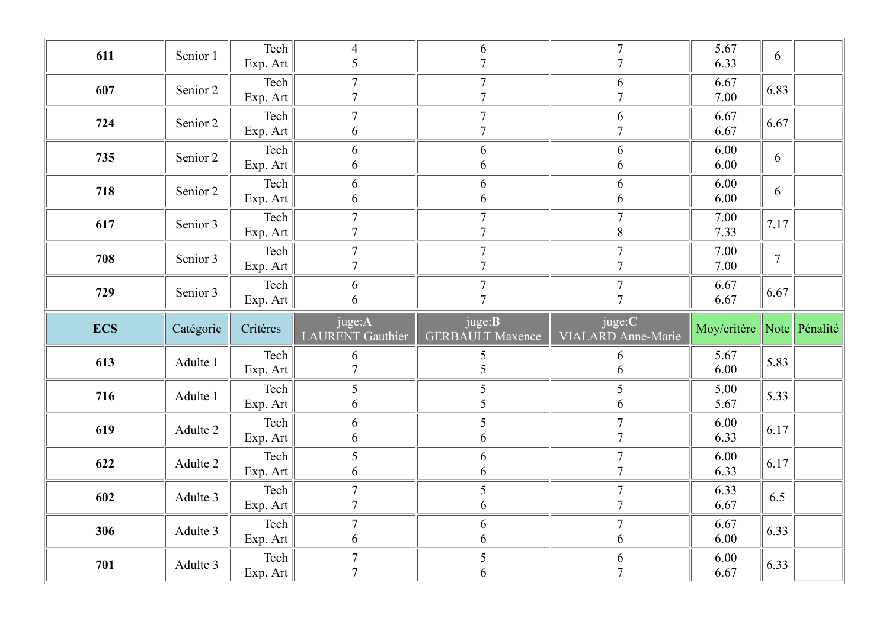| 611        | Senior 1  | Tech                      | $\overline{4}$                   | 6                                         | $\overline{7}$                  | 5.67                      | 6              |  |
|------------|-----------|---------------------------|----------------------------------|-------------------------------------------|---------------------------------|---------------------------|----------------|--|
|            |           | Exp. Art                  | 5                                | $\overline{7}$                            | $\tau$                          | 6.33                      |                |  |
| 607        | Senior 2  | Tech<br>Exp. Art          | $\overline{7}$<br>$\overline{7}$ | $7\phantom{.0}$<br>$\overline{7}$         | 6<br>$\tau$                     | 6.67<br>7.00              | 6.83           |  |
|            |           | Tech                      | $7\phantom{.0}$                  | $\tau$                                    |                                 | 6.67                      |                |  |
| 724        | Senior 2  | Exp. Art                  | 6                                | $\overline{7}$                            | 6<br>$\overline{7}$             | 6.67                      | 6.67           |  |
|            |           | Tech                      | 6                                | 6                                         | 6                               | 6.00                      |                |  |
| 735        | Senior 2  | Exp. Art                  | 6                                | 6                                         | 6                               | 6.00                      | 6              |  |
|            |           | Tech                      | 6                                | 6                                         | 6                               | 6.00                      |                |  |
| 718        | Senior 2  | Exp. Art                  | 6                                | 6                                         | 6                               | 6.00                      | 6              |  |
| 617        | Senior 3  | Tech                      | $\overline{7}$                   | $\overline{7}$                            | $\overline{7}$                  | 7.00                      | 7.17           |  |
|            |           | Exp. Art                  | $\overline{7}$                   | $\overline{7}$                            | 8                               | 7.33                      |                |  |
| 708        | Senior 3  | Tech                      | $\overline{7}$                   | $\boldsymbol{7}$                          | $\boldsymbol{7}$                | 7.00                      | $\overline{7}$ |  |
|            |           | Exp. Art                  | $\overline{7}$                   | $\overline{7}$                            | $\overline{7}$                  | 7.00                      |                |  |
| 729        | Senior 3  | Tech                      | 6                                | $\overline{7}$<br>$\tau$                  | $\overline{7}$<br>$\mathcal{I}$ | 6.67                      | 6.67           |  |
|            |           | $\boxed{\text{Exp. Art}}$ | 6                                |                                           |                                 | 6.67                      |                |  |
| <b>ECS</b> | Catégorie | Critères                  | juge:A<br>LAURENT Gauthier       | juge: <b>B</b><br><b>GERBAULT Maxence</b> | juge:C<br>VIALARD Anne-Marie    | Moy/critère Note Pénalité |                |  |
|            |           |                           |                                  |                                           |                                 |                           |                |  |
|            |           | Tech                      | 6                                | $5\overline{)}$                           | 6                               | 5.67                      |                |  |
| 613        | Adulte 1  | Exp. Art                  | $\overline{7}$                   | $\mathfrak{S}$                            | 6                               | 6.00                      | 5.83           |  |
|            |           | Tech                      | 5                                | $\mathfrak{S}$                            | 5                               | 5.00                      |                |  |
| 716        | Adulte 1  | Exp. Art                  | 6                                | 5                                         | 6                               | 5.67                      | 5.33           |  |
| 619        | Adulte 2  | Tech                      | 6                                | 5                                         | $\overline{7}$                  | 6.00                      | 6.17           |  |
|            |           | Exp. Art                  | $\sqrt{6}$                       | 6                                         | $\overline{7}$                  | 6.33                      |                |  |
| 622        | Adulte 2  | Tech                      | 5                                | 6                                         | $\overline{7}$                  | 6.00                      | 6.17           |  |
|            |           | Exp. Art                  | 6                                | 6                                         | $\overline{7}$                  | 6.33                      |                |  |
| 602        | Adulte 3  | Tech                      | $7\phantom{.0}$                  | $5\overline{)}$                           | $\overline{7}$                  | 6.33                      | 6.5            |  |
|            |           | Exp. Art                  | $\overline{7}$                   | 6                                         | $\overline{7}$                  | 6.67                      |                |  |
| 306        | Adulte 3  | Tech                      | $\overline{7}$<br>6              | 6<br>6                                    | $\overline{7}$<br>6             | 6.67<br>6.00              | 6.33           |  |
| 701        | Adulte 3  | Exp. Art<br>Tech          | $\boldsymbol{7}$                 | $\mathfrak{S}$                            | 6                               | 6.00                      | 6.33           |  |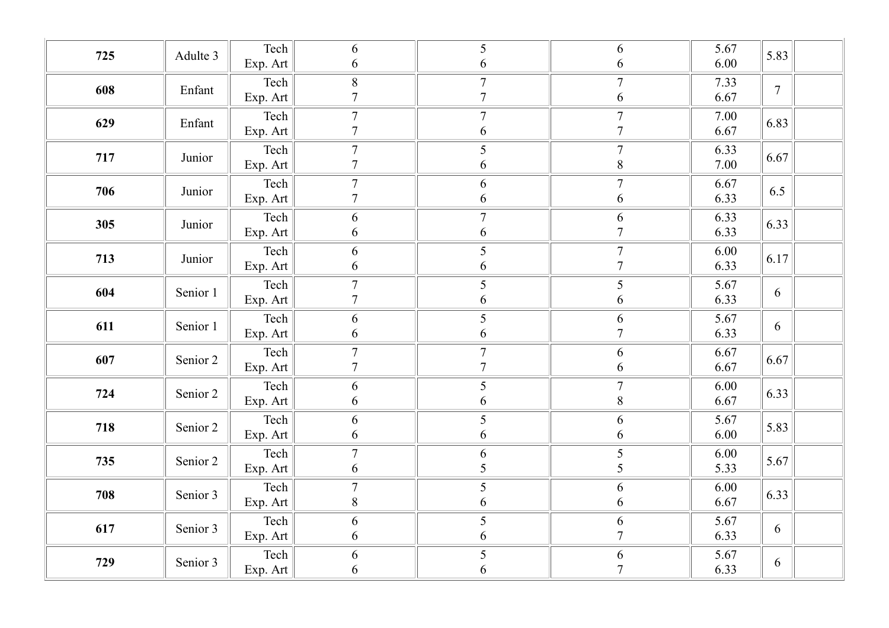| Tech<br>5.67<br>6<br>5<br>6<br>5.83<br>725<br>Adulte 3<br>6.00<br>6<br>Exp. Art<br>6<br>6<br>Tech<br>$8\,$<br>$\tau$<br>$\tau$<br>7.33<br>608<br>$\overline{7}$<br>Enfant<br>$\overline{7}$<br>$\overline{7}$<br>6.67<br>6<br>Exp. Art<br>$\boldsymbol{7}$<br>Tech<br>$\boldsymbol{7}$<br>$\tau$<br>7.00<br>6.83<br>629<br>Enfant<br>$\overline{7}$<br>6<br>$\overline{7}$<br>6.67<br>Exp. Art<br>Tech<br>$\tau$<br>$\mathfrak{S}$<br>6.33<br>$\overline{7}$<br>717<br>6.67<br>Junior<br>$\overline{7}$<br>7.00<br>Exp. Art<br>6<br>$8\,$<br>Tech<br>$\boldsymbol{7}$<br>$\sqrt{6}$<br>$\boldsymbol{7}$<br>6.67<br>706<br>6.5<br>Junior<br>$\overline{7}$<br>6<br>6.33<br>6<br>Exp. Art<br>Tech<br>$\boldsymbol{7}$<br>6<br>6.33<br>6<br>6.33<br>305<br>Junior<br>6.33<br>6<br>6<br>$\overline{7}$<br>Exp. Art<br>Tech<br>5<br>6.00<br>6<br>$\overline{7}$<br>6.17<br>713<br>Junior<br>6.33<br>6<br>$\overline{7}$<br>Exp. Art<br>6<br>5<br>Tech<br>$\boldsymbol{7}$<br>5<br>5.67<br>604<br>Senior 1<br>6<br>$\overline{7}$<br>6<br>6.33<br>6<br>Exp. Art<br>Tech<br>5<br>6<br>5.67<br>6<br>611<br>Senior 1<br>6<br>6<br>6.33<br>6<br>$\overline{7}$<br>Exp. Art<br>Tech<br>$\boldsymbol{7}$<br>$\boldsymbol{7}$<br>6.67<br>6<br>607<br>6.67<br>Senior 2<br>$\tau$<br>$\overline{7}$<br>6.67<br>Exp. Art<br>6<br>$\sqrt{5}$<br>Tech<br>$\tau$<br>$6.00\,$<br>6<br>724<br>6.33<br>Senior 2<br>6<br>6.67<br>6<br>$8\,$<br>Exp. Art<br>Tech<br>5<br>6<br>5.67<br>6<br>5.83<br>718<br>Senior 2<br>6<br>6.00<br>6<br>Exp. Art<br>6<br>Tech<br>$\overline{7}$<br>6<br>5<br>6.00<br>5.67<br>735<br>Senior 2<br>5<br>5<br>6<br>5.33<br>Exp. Art<br>Tech<br>5<br>$\boldsymbol{7}$<br>6.00<br>6<br>708<br>6.33<br>Senior 3<br>8<br>6<br>6.67<br>6<br>Exp. Art<br>5<br>Tech<br>6<br>5.67<br>6<br>617<br>Senior 3<br>6<br>$\overline{7}$<br>6.33<br>6<br>6<br>Exp. Art<br>Tech<br>$\mathfrak{S}$<br>6<br>5.67<br>6<br>729<br>Senior 3<br>6<br>6<br>$\overline{7}$<br>6.33<br>Exp. Art<br>6 |  |  |  |  |  |
|--------------------------------------------------------------------------------------------------------------------------------------------------------------------------------------------------------------------------------------------------------------------------------------------------------------------------------------------------------------------------------------------------------------------------------------------------------------------------------------------------------------------------------------------------------------------------------------------------------------------------------------------------------------------------------------------------------------------------------------------------------------------------------------------------------------------------------------------------------------------------------------------------------------------------------------------------------------------------------------------------------------------------------------------------------------------------------------------------------------------------------------------------------------------------------------------------------------------------------------------------------------------------------------------------------------------------------------------------------------------------------------------------------------------------------------------------------------------------------------------------------------------------------------------------------------------------------------------------------------------------------------------------------------------------------------------------------------------------------------------------------------------------------------------------------------------------------------------------------------------------------------------------------------------------------------------------------------------------------|--|--|--|--|--|
|                                                                                                                                                                                                                                                                                                                                                                                                                                                                                                                                                                                                                                                                                                                                                                                                                                                                                                                                                                                                                                                                                                                                                                                                                                                                                                                                                                                                                                                                                                                                                                                                                                                                                                                                                                                                                                                                                                                                                                                |  |  |  |  |  |
|                                                                                                                                                                                                                                                                                                                                                                                                                                                                                                                                                                                                                                                                                                                                                                                                                                                                                                                                                                                                                                                                                                                                                                                                                                                                                                                                                                                                                                                                                                                                                                                                                                                                                                                                                                                                                                                                                                                                                                                |  |  |  |  |  |
|                                                                                                                                                                                                                                                                                                                                                                                                                                                                                                                                                                                                                                                                                                                                                                                                                                                                                                                                                                                                                                                                                                                                                                                                                                                                                                                                                                                                                                                                                                                                                                                                                                                                                                                                                                                                                                                                                                                                                                                |  |  |  |  |  |
|                                                                                                                                                                                                                                                                                                                                                                                                                                                                                                                                                                                                                                                                                                                                                                                                                                                                                                                                                                                                                                                                                                                                                                                                                                                                                                                                                                                                                                                                                                                                                                                                                                                                                                                                                                                                                                                                                                                                                                                |  |  |  |  |  |
|                                                                                                                                                                                                                                                                                                                                                                                                                                                                                                                                                                                                                                                                                                                                                                                                                                                                                                                                                                                                                                                                                                                                                                                                                                                                                                                                                                                                                                                                                                                                                                                                                                                                                                                                                                                                                                                                                                                                                                                |  |  |  |  |  |
|                                                                                                                                                                                                                                                                                                                                                                                                                                                                                                                                                                                                                                                                                                                                                                                                                                                                                                                                                                                                                                                                                                                                                                                                                                                                                                                                                                                                                                                                                                                                                                                                                                                                                                                                                                                                                                                                                                                                                                                |  |  |  |  |  |
|                                                                                                                                                                                                                                                                                                                                                                                                                                                                                                                                                                                                                                                                                                                                                                                                                                                                                                                                                                                                                                                                                                                                                                                                                                                                                                                                                                                                                                                                                                                                                                                                                                                                                                                                                                                                                                                                                                                                                                                |  |  |  |  |  |
|                                                                                                                                                                                                                                                                                                                                                                                                                                                                                                                                                                                                                                                                                                                                                                                                                                                                                                                                                                                                                                                                                                                                                                                                                                                                                                                                                                                                                                                                                                                                                                                                                                                                                                                                                                                                                                                                                                                                                                                |  |  |  |  |  |
|                                                                                                                                                                                                                                                                                                                                                                                                                                                                                                                                                                                                                                                                                                                                                                                                                                                                                                                                                                                                                                                                                                                                                                                                                                                                                                                                                                                                                                                                                                                                                                                                                                                                                                                                                                                                                                                                                                                                                                                |  |  |  |  |  |
|                                                                                                                                                                                                                                                                                                                                                                                                                                                                                                                                                                                                                                                                                                                                                                                                                                                                                                                                                                                                                                                                                                                                                                                                                                                                                                                                                                                                                                                                                                                                                                                                                                                                                                                                                                                                                                                                                                                                                                                |  |  |  |  |  |
|                                                                                                                                                                                                                                                                                                                                                                                                                                                                                                                                                                                                                                                                                                                                                                                                                                                                                                                                                                                                                                                                                                                                                                                                                                                                                                                                                                                                                                                                                                                                                                                                                                                                                                                                                                                                                                                                                                                                                                                |  |  |  |  |  |
|                                                                                                                                                                                                                                                                                                                                                                                                                                                                                                                                                                                                                                                                                                                                                                                                                                                                                                                                                                                                                                                                                                                                                                                                                                                                                                                                                                                                                                                                                                                                                                                                                                                                                                                                                                                                                                                                                                                                                                                |  |  |  |  |  |
|                                                                                                                                                                                                                                                                                                                                                                                                                                                                                                                                                                                                                                                                                                                                                                                                                                                                                                                                                                                                                                                                                                                                                                                                                                                                                                                                                                                                                                                                                                                                                                                                                                                                                                                                                                                                                                                                                                                                                                                |  |  |  |  |  |
|                                                                                                                                                                                                                                                                                                                                                                                                                                                                                                                                                                                                                                                                                                                                                                                                                                                                                                                                                                                                                                                                                                                                                                                                                                                                                                                                                                                                                                                                                                                                                                                                                                                                                                                                                                                                                                                                                                                                                                                |  |  |  |  |  |
|                                                                                                                                                                                                                                                                                                                                                                                                                                                                                                                                                                                                                                                                                                                                                                                                                                                                                                                                                                                                                                                                                                                                                                                                                                                                                                                                                                                                                                                                                                                                                                                                                                                                                                                                                                                                                                                                                                                                                                                |  |  |  |  |  |
|                                                                                                                                                                                                                                                                                                                                                                                                                                                                                                                                                                                                                                                                                                                                                                                                                                                                                                                                                                                                                                                                                                                                                                                                                                                                                                                                                                                                                                                                                                                                                                                                                                                                                                                                                                                                                                                                                                                                                                                |  |  |  |  |  |
|                                                                                                                                                                                                                                                                                                                                                                                                                                                                                                                                                                                                                                                                                                                                                                                                                                                                                                                                                                                                                                                                                                                                                                                                                                                                                                                                                                                                                                                                                                                                                                                                                                                                                                                                                                                                                                                                                                                                                                                |  |  |  |  |  |
|                                                                                                                                                                                                                                                                                                                                                                                                                                                                                                                                                                                                                                                                                                                                                                                                                                                                                                                                                                                                                                                                                                                                                                                                                                                                                                                                                                                                                                                                                                                                                                                                                                                                                                                                                                                                                                                                                                                                                                                |  |  |  |  |  |
|                                                                                                                                                                                                                                                                                                                                                                                                                                                                                                                                                                                                                                                                                                                                                                                                                                                                                                                                                                                                                                                                                                                                                                                                                                                                                                                                                                                                                                                                                                                                                                                                                                                                                                                                                                                                                                                                                                                                                                                |  |  |  |  |  |
|                                                                                                                                                                                                                                                                                                                                                                                                                                                                                                                                                                                                                                                                                                                                                                                                                                                                                                                                                                                                                                                                                                                                                                                                                                                                                                                                                                                                                                                                                                                                                                                                                                                                                                                                                                                                                                                                                                                                                                                |  |  |  |  |  |
|                                                                                                                                                                                                                                                                                                                                                                                                                                                                                                                                                                                                                                                                                                                                                                                                                                                                                                                                                                                                                                                                                                                                                                                                                                                                                                                                                                                                                                                                                                                                                                                                                                                                                                                                                                                                                                                                                                                                                                                |  |  |  |  |  |
|                                                                                                                                                                                                                                                                                                                                                                                                                                                                                                                                                                                                                                                                                                                                                                                                                                                                                                                                                                                                                                                                                                                                                                                                                                                                                                                                                                                                                                                                                                                                                                                                                                                                                                                                                                                                                                                                                                                                                                                |  |  |  |  |  |
|                                                                                                                                                                                                                                                                                                                                                                                                                                                                                                                                                                                                                                                                                                                                                                                                                                                                                                                                                                                                                                                                                                                                                                                                                                                                                                                                                                                                                                                                                                                                                                                                                                                                                                                                                                                                                                                                                                                                                                                |  |  |  |  |  |
|                                                                                                                                                                                                                                                                                                                                                                                                                                                                                                                                                                                                                                                                                                                                                                                                                                                                                                                                                                                                                                                                                                                                                                                                                                                                                                                                                                                                                                                                                                                                                                                                                                                                                                                                                                                                                                                                                                                                                                                |  |  |  |  |  |
|                                                                                                                                                                                                                                                                                                                                                                                                                                                                                                                                                                                                                                                                                                                                                                                                                                                                                                                                                                                                                                                                                                                                                                                                                                                                                                                                                                                                                                                                                                                                                                                                                                                                                                                                                                                                                                                                                                                                                                                |  |  |  |  |  |
|                                                                                                                                                                                                                                                                                                                                                                                                                                                                                                                                                                                                                                                                                                                                                                                                                                                                                                                                                                                                                                                                                                                                                                                                                                                                                                                                                                                                                                                                                                                                                                                                                                                                                                                                                                                                                                                                                                                                                                                |  |  |  |  |  |
|                                                                                                                                                                                                                                                                                                                                                                                                                                                                                                                                                                                                                                                                                                                                                                                                                                                                                                                                                                                                                                                                                                                                                                                                                                                                                                                                                                                                                                                                                                                                                                                                                                                                                                                                                                                                                                                                                                                                                                                |  |  |  |  |  |
|                                                                                                                                                                                                                                                                                                                                                                                                                                                                                                                                                                                                                                                                                                                                                                                                                                                                                                                                                                                                                                                                                                                                                                                                                                                                                                                                                                                                                                                                                                                                                                                                                                                                                                                                                                                                                                                                                                                                                                                |  |  |  |  |  |
|                                                                                                                                                                                                                                                                                                                                                                                                                                                                                                                                                                                                                                                                                                                                                                                                                                                                                                                                                                                                                                                                                                                                                                                                                                                                                                                                                                                                                                                                                                                                                                                                                                                                                                                                                                                                                                                                                                                                                                                |  |  |  |  |  |
|                                                                                                                                                                                                                                                                                                                                                                                                                                                                                                                                                                                                                                                                                                                                                                                                                                                                                                                                                                                                                                                                                                                                                                                                                                                                                                                                                                                                                                                                                                                                                                                                                                                                                                                                                                                                                                                                                                                                                                                |  |  |  |  |  |
|                                                                                                                                                                                                                                                                                                                                                                                                                                                                                                                                                                                                                                                                                                                                                                                                                                                                                                                                                                                                                                                                                                                                                                                                                                                                                                                                                                                                                                                                                                                                                                                                                                                                                                                                                                                                                                                                                                                                                                                |  |  |  |  |  |
|                                                                                                                                                                                                                                                                                                                                                                                                                                                                                                                                                                                                                                                                                                                                                                                                                                                                                                                                                                                                                                                                                                                                                                                                                                                                                                                                                                                                                                                                                                                                                                                                                                                                                                                                                                                                                                                                                                                                                                                |  |  |  |  |  |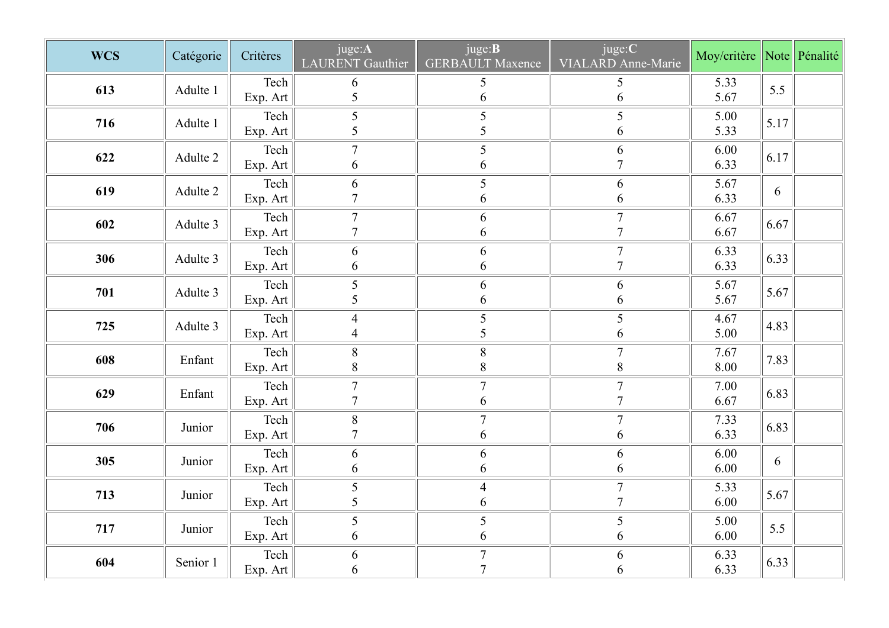| <b>WCS</b> |           | Critères                   | juge:A                   | juge: <b>B</b>                   | juge:C                           | Moy/critère Note Pénalité |                    |  |
|------------|-----------|----------------------------|--------------------------|----------------------------------|----------------------------------|---------------------------|--------------------|--|
|            | Catégorie |                            | <b>LAURENT</b> Gauthier  | <b>GERBAULT Maxence</b>          | VIALARD Anne-Marie               |                           |                    |  |
| 613        | Adulte 1  | Tech                       | 6                        | 5                                | 5                                | 5.33                      | 5.5                |  |
|            |           | Exp. Art                   | 5                        | 6                                | 6<br>5                           | 5.67                      |                    |  |
| 716        | Adulte 1  | Tech<br>Exp. Art           | 5<br>5                   | 5<br>5                           | 6                                | 5.00<br>5.33              | $\vert 5.17 \vert$ |  |
|            |           | Tech                       | $\overline{7}$           | 5                                | 6                                | 6.00                      |                    |  |
| 622        | Adulte 2  | Exp. Art                   | 6                        | 6                                | $\overline{7}$                   | 6.33                      | $\vert 6.17 \vert$ |  |
| 619        | Adulte 2  | Tech                       | 6                        | $\mathfrak{S}$                   | 6                                | 5.67                      | 6                  |  |
|            |           | Exp. Art                   | $\overline{7}$           | 6                                | 6                                | 6.33                      |                    |  |
| 602        | Adulte 3  | Tech                       | $\tau$<br>$\overline{7}$ | 6                                | $\tau$<br>$\mathcal{I}$          | 6.67                      | 6.67               |  |
|            |           | Exp. Art                   |                          | 6                                | $\overline{7}$                   | 6.67                      |                    |  |
| 306        | Adulte 3  | Tech<br>Exp. Art           | 6<br>6                   | 6<br>6                           | $\overline{7}$                   | 6.33<br>6.33              | 6.33               |  |
|            |           | $\text{Techn}$             | $5\overline{)}$          | 6                                | 6                                | 5.67                      |                    |  |
| 701        | Adulte 3  | Exp. Art                   | 5                        | $\sqrt{6}$                       | $\sqrt{6}$                       | 5.67                      | 5.67               |  |
| 725        | Adulte 3  | Tech                       | $\overline{4}$           | $\mathfrak{S}$                   | $\sqrt{5}$                       | 4.67                      | 4.83               |  |
|            |           | Exp. Art                   | $\overline{4}$           | 5                                | $\sqrt{6}$                       | 5.00                      |                    |  |
| 608        | Enfant    | $\text{Techn}$             | $8\,$                    | $8\,$                            | $\overline{7}$                   | 7.67                      | 7.83               |  |
|            |           | Exp. Art                   | $8\,$                    | $8\,$                            | $\,8\,$                          | 8.00                      |                    |  |
| 629        | Enfant    | $\text{Techn}$             | $\tau$<br>$\overline{7}$ | $\overline{7}$<br>$\sqrt{6}$     | $\overline{7}$<br>$\overline{7}$ | 7.00<br>6.67              | 6.83               |  |
|            |           | Exp. Art<br>Tech           | $8\,$                    | $\overline{7}$                   | $7\phantom{.0}$                  | 7.33                      |                    |  |
| 706        | Junior    | Exp. Art                   | $\tau$                   | 6                                | $\sqrt{6}$                       | 6.33                      | 6.83               |  |
|            |           | $\text{Techn}$             | 6                        | 6                                | 6                                | 6.00                      |                    |  |
| 305        | Junior    | Exp. Art                   | 6                        | $\sqrt{6}$                       | 6                                | 6.00                      | 6                  |  |
| 713        | Junior    | Tech                       | $\mathfrak{H}$           | $\overline{4}$                   | $\tau$                           | 5.33                      | 5.67               |  |
|            |           | Exp. Art                   | 5                        | $\sqrt{6}$                       | $\overline{7}$                   | 6.00                      |                    |  |
| 717        | Junior    | Tech                       | $\mathfrak{S}$           | $\mathfrak{S}$                   | $\sqrt{5}$                       | 5.00                      | 5.5                |  |
|            |           | Exp. Art                   | 6                        | $\sqrt{6}$                       | 6                                | 6.00                      |                    |  |
| 604        | Senior 1  | $\text{Techn}$<br>Exp. Art | 6<br>6                   | $\overline{7}$<br>$\overline{ }$ | 6<br>6                           | 6.33<br>6.33              | 6.33               |  |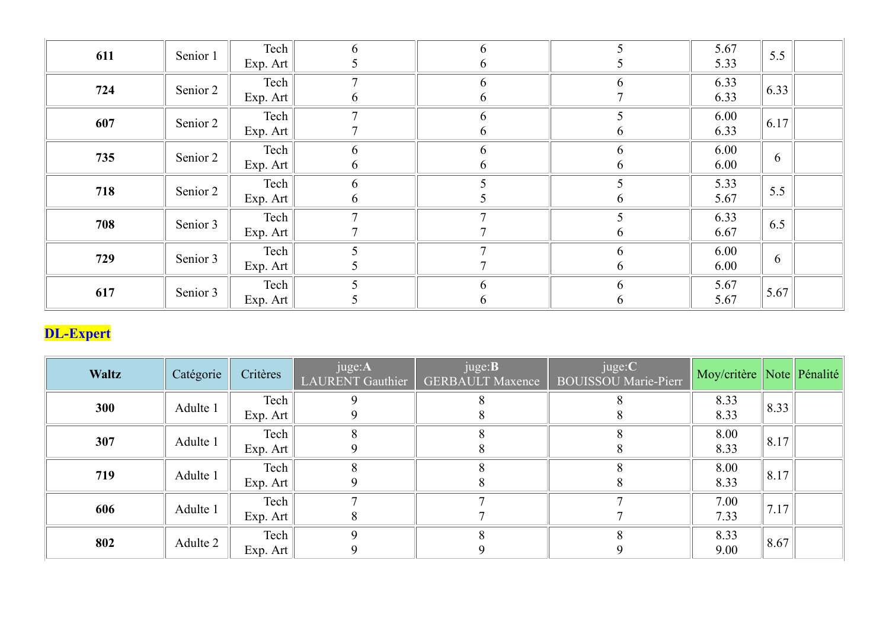| 611              | Senior 1  | Tech                       | 6                          | 6                                         | 5                              | 5.67                         | 5.5                |  |
|------------------|-----------|----------------------------|----------------------------|-------------------------------------------|--------------------------------|------------------------------|--------------------|--|
|                  |           | Exp. Art                   |                            |                                           |                                | 5.33                         |                    |  |
| 724              | Senior 2  | Tech                       | $\overline{7}$             | 6                                         | 6                              | 6.33                         | 6.33               |  |
|                  |           | Exp. Art                   | 6                          | 6                                         |                                | 6.33                         |                    |  |
| 607              | Senior 2  | Tech                       | $\overline{7}$             | 6                                         | 5                              | 6.00                         | 6.17               |  |
|                  |           | Exp. Art                   |                            | 6                                         |                                | 6.33                         |                    |  |
| 735              | Senior 2  | Tech                       | 6                          | 6                                         | 6                              | 6.00                         | 6                  |  |
|                  |           | Exp. Art                   | 6                          | 6                                         | 6                              | 6.00                         |                    |  |
| 718              | Senior 2  | Tech                       | 6                          |                                           | 5                              | 5.33                         | 5.5                |  |
|                  |           | Exp. Art                   | 6                          |                                           |                                | 5.67                         |                    |  |
| 708              | Senior 3  | Tech                       | $\overline{7}$             | $\mathbf{r}$                              |                                | 6.33                         | 6.5                |  |
|                  |           | Exp. Art                   |                            |                                           |                                | 6.67                         |                    |  |
| 729              | Senior 3  | Tech                       | 5                          | $\mathbf{r}$                              | 6                              | 6.00                         | 6                  |  |
|                  |           | Exp. Art                   |                            |                                           |                                | 6.00                         |                    |  |
| 617              | Senior 3  | Tech                       | 5                          | 6                                         | 6                              | 5.67                         | 5.67               |  |
|                  |           | Exp. Art                   |                            | 6                                         | $\mathbf{p}$                   | 5.67                         |                    |  |
| <b>DL-Expert</b> |           |                            |                            |                                           |                                |                              |                    |  |
| Waltz            | Catégorie | Critères                   | juge:A<br>LAURENT Gauthier | juge: <b>B</b><br><b>GERBAULT Maxence</b> | juge:C<br>BOUISSOU Marie-Pierr | Moy/critère Note Pénalité    |                    |  |
| 300              | Adulte 1  | $\text{Techn}$<br>Exp. Art | 9<br>9                     | 8<br>8                                    | 8<br>8                         | 8.33<br>8.33                 | $\vert 8.33 \vert$ |  |
| 307              | Adulte 1  | Tech<br>$\overline{a}$     | $8\phantom{.}$<br>$\sim$   | 8                                         | 8                              | 8.00<br>$\sim$ $\sim$ $\sim$ | $\vert 8.17 \vert$ |  |

# DL-Expert

| <b>Waltz</b> | Catégorie | Critères                   | juge:A<br>LAURENT Gauthier | juge: <b>B</b><br><b>GERBAULT Maxence</b> | juge:C<br><b>BOUISSOU</b> Marie-Pierr | Moy/critère Note Pénalité |      |  |
|--------------|-----------|----------------------------|----------------------------|-------------------------------------------|---------------------------------------|---------------------------|------|--|
| <b>300</b>   | Adulte 1  | Tech<br>Exp. Art           |                            |                                           | 8                                     | 8.33<br>8.33              | 8.33 |  |
| 307          | Adulte 1  | Tech<br>Exp. Art           |                            |                                           | 8                                     | 8.00<br>8.33              | 8.17 |  |
| 719          | Adulte 1  | Tech<br>Exp. Art           |                            |                                           |                                       | 8.00<br>8.33              | 8.17 |  |
| 606          | Adulte 1  | Tech<br>Exp. Art           |                            |                                           |                                       | 7.00<br>7.33              | 7.17 |  |
| 802          | Adulte 2  | $\text{Techn}$<br>Exp. Art | Q<br>9                     | q                                         | 9                                     | 8.33<br>9.00              | 8.67 |  |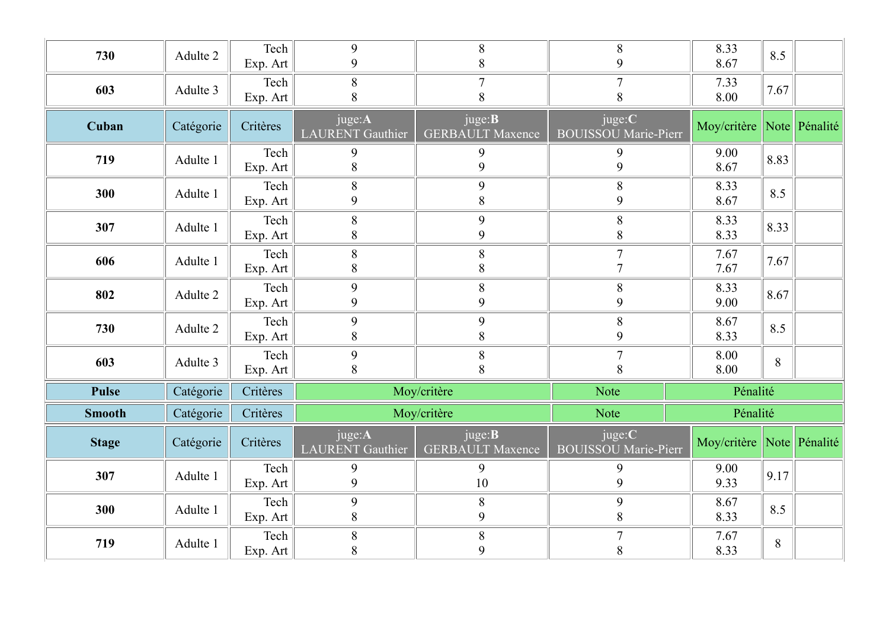| 730           | Adulte 2  | Tech<br>Exp. Art             | 9<br>9                            | $8\phantom{.}$<br>8                       | $8\phantom{.}$<br>9                   | 8.33<br>8.67              | 8.5            |  |
|---------------|-----------|------------------------------|-----------------------------------|-------------------------------------------|---------------------------------------|---------------------------|----------------|--|
| 603           | Adulte 3  | Tech<br>Exp. Art             | 8<br>8                            | $\overline{7}$<br>8                       | $\overline{7}$<br>8                   | 7.33<br>8.00              | 7.67           |  |
| Cuban         | Catégorie | Critères                     | juge:A<br><b>LAURENT</b> Gauthier | juge: <b>B</b><br><b>GERBAULT Maxence</b> | juge:C<br><b>BOUISSOU Marie-Pierr</b> | Moy/critère Note Pénalité |                |  |
| 719           | Adulte 1  | Tech<br>Exp. Art             | 9<br>$8\phantom{.}$               | 9<br>9                                    | 9<br>9                                | 9.00<br>8.67              | 8.83           |  |
| 300           | Adulte 1  | Tech<br>Exp. Art             | 8<br>9                            | $\overline{9}$<br>8                       | $\,8\,$<br>9                          | 8.33<br>8.67              | 8.5            |  |
| 307           | Adulte 1  | Tech<br>Exp. Art $\parallel$ | $8\,$<br>$\,8\,$                  | $\overline{9}$<br>9                       | 8<br>8                                | 8.33<br>8.33              | 8.33           |  |
| 606           | Adulte 1  | Tech<br>Exp. Art $\vert$     | 8<br>$8\,$                        | $8\,$<br>8                                | $\overline{7}$<br>$\overline{ }$      | 7.67<br>7.67              | 7.67           |  |
| 802           | Adulte 2  | Tech<br>Exp. Art             | 9<br>9                            | $8\,$<br>9                                | $8\phantom{.0}$<br>9                  | 8.33<br>9.00              | 8.67           |  |
| 730           | Adulte 2  | Tech<br>Exp. Art             | 9<br>$8\,$                        | 9<br>$8\phantom{.}$                       | $8\,$<br>9                            | 8.67<br>8.33              | 8.5            |  |
| 603           | Adulte 3  | Tech<br>Exp. Art             | 9<br>$\, 8$                       | $8\,$<br>8                                | $\overline{7}$<br>$\,8\,$             | 8.00<br>8.00              | $8\,$          |  |
| <b>Pulse</b>  | Catégorie | Critères                     |                                   | Moy/critère                               | Note                                  | Pénalité                  |                |  |
| <b>Smooth</b> | Catégorie | Critères                     |                                   | Moy/critère                               | Note                                  | Pénalité                  |                |  |
| <b>Stage</b>  | Catégorie | Critères                     | juge:A<br><b>LAURENT</b> Gauthier | juge: <b>B</b><br><b>GERBAULT Maxence</b> | juge:C<br><b>BOUISSOU Marie-Pierr</b> | Moy/critère Note Pénalité |                |  |
| 307           | Adulte 1  | Tech<br>Exp. Art             | 9<br>9                            | 9<br>$10\,$                               | 9<br>9                                | 9.00<br>9.33              | 9.17           |  |
| 300           | Adulte 1  | Tech<br>Exp. Art             | 9<br>$\, 8$                       | $8\,$<br>$\overline{9}$                   | 9<br>$\,8\,$                          | 8.67<br>8.33              | 8.5            |  |
| 719           | Adulte 1  | $\text{Techn}$<br>Exp. Art   | $8\,$<br>$8\,$                    | $8\,$<br>9                                | $\overline{7}$<br>$\, 8$              | 7.67<br>8.33              | $8\phantom{.}$ |  |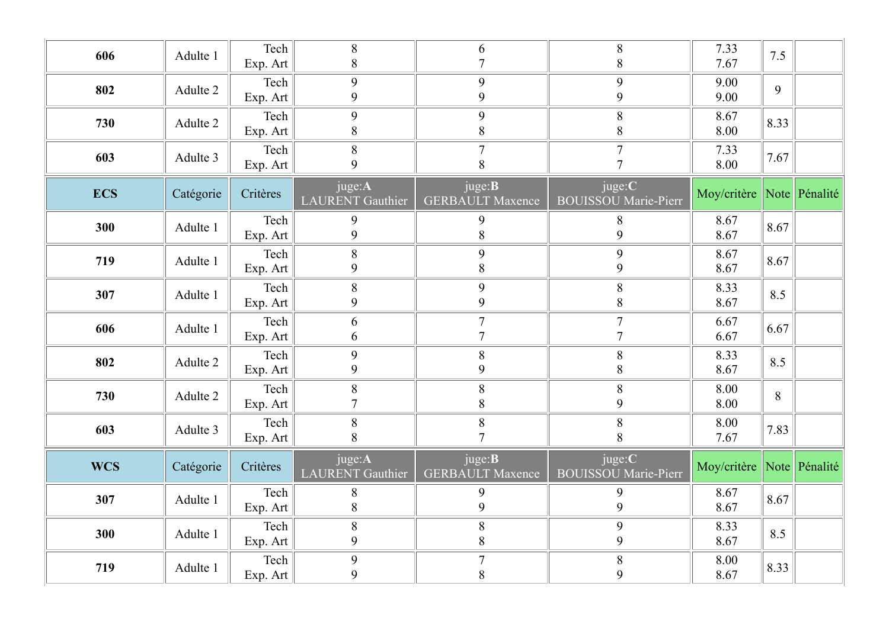| 606        | Adulte 1  | Tech<br>Exp. Art             | 8<br>8                            | 6<br>$\overline{7}$                       | $8\,$<br>8                            | 7.33<br>7.67              | 7.5     |  |
|------------|-----------|------------------------------|-----------------------------------|-------------------------------------------|---------------------------------------|---------------------------|---------|--|
| 802        | Adulte 2  | Tech<br>Exp. Art             | 9<br>9                            | 9<br>9                                    | 9<br>9                                | 9.00<br>9.00              | 9       |  |
| 730        | Adulte 2  | Tech<br>Exp. Art             | 9<br>8                            | 9<br>$8\,$                                | $8\,$<br>8                            | 8.67<br>8.00              | 8.33    |  |
| 603        | Adulte 3  | Tech<br>Exp. Art             | 8<br>$\mathbf{Q}$                 | $\overline{7}$<br>8                       | $\overline{7}$<br>$\mathbf{r}$        | 7.33<br>8.00              | 7.67    |  |
| <b>ECS</b> | Catégorie | Critères                     | juge:A<br><b>LAURENT</b> Gauthier | juge: <b>B</b><br><b>GERBAULT Maxence</b> | juge:C<br><b>BOUISSOU Marie-Pierr</b> | Moy/critère Note Pénalité |         |  |
| 300        | Adulte 1  | Tech<br>Exp. Art             | 9<br>9                            | 9<br>8                                    | 8<br>9                                | 8.67<br>8.67              | 8.67    |  |
| 719        | Adulte 1  | Tech<br>Exp. Art             | 8<br>9                            | 9<br>8                                    | 9<br>9                                | 8.67<br>8.67              | 8.67    |  |
| 307        | Adulte 1  | Tech<br>Exp. Art             | $8\phantom{1}$<br>9               | 9<br>9                                    | $8\,$<br>8                            | 8.33<br>8.67              | 8.5     |  |
| 606        | Adulte 1  | Tech<br>Exp. Art             | 6<br>6                            | $\tau$<br>$\overline{7}$                  | $\overline{7}$<br>$\overline{7}$      | 6.67<br>6.67              | 6.67    |  |
| 802        | Adulte 2  | Tech<br>Exp. Art             | 9<br>9                            | $8\phantom{.}$<br>$\overline{9}$          | 8<br>8                                | 8.33<br>8.67              | 8.5     |  |
| 730        | Adulte 2  | Tech<br>Exp. Art $\parallel$ | 8<br>$\overline{7}$               | 8<br>$8\,$                                | $8\,$<br>9                            | 8.00<br>8.00              | $\,8\,$ |  |
| 603        | Adulte 3  | Tech<br>Exp. Art             | 8<br>8                            | $8\phantom{.}$<br>$\overline{7}$          | 8<br>8                                | 8.00<br>7.67              | 7.83    |  |
| <b>WCS</b> | Catégorie | Critères                     | juge:A<br><b>LAURENT</b> Gauthier | juge: <b>B</b><br><b>GERBAULT Maxence</b> | juge:C<br><b>BOUISSOU Marie-Pierr</b> | Moy/critère Note Pénalité |         |  |
| 307        | Adulte 1  | Tech<br>Exp. Art             | 8<br>8                            | 9<br>$\overline{9}$                       | 9<br>9                                | 8.67<br>8.67              | 8.67    |  |
| 300        | Adulte 1  | Tech<br>Exp. Art $\parallel$ | 8<br>9                            | $8\,$<br>$8\,$                            | 9<br>9                                | 8.33<br>8.67              | 8.5     |  |
| 719        | Adulte 1  | $\text{Techn}$<br>Exp. Art   | 9<br>9                            | $\boldsymbol{7}$<br>$8\,$                 | $8\,$<br>9                            | 8.00<br>8.67              | 8.33    |  |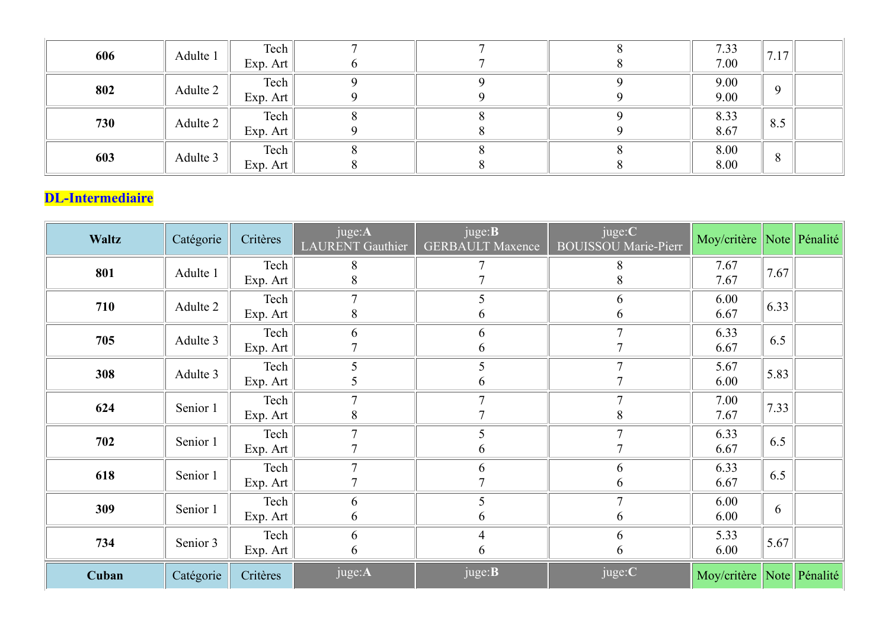| 606                     | Adulte 1  | Tech<br>Exp. Art                 | 7<br>6                     |                                           | 8<br>8                         | 7.33<br>7.00                 | 7.17      |  |
|-------------------------|-----------|----------------------------------|----------------------------|-------------------------------------------|--------------------------------|------------------------------|-----------|--|
| 802                     | Adulte 2  | $\text{Techn}$<br>Exp. Art       | 9<br>9                     | 9<br>9                                    | 9<br>9                         | 9.00<br>9.00                 | 9         |  |
| 730                     | Adulte 2  | Tech<br>Exp. Art                 | 8<br>9                     | 8<br>8                                    | 9<br>-9                        | 8.33<br>8.67                 | 8.5       |  |
| 603                     | Adulte 3  | Tech<br>Exp. Art                 | 8                          | 8<br>8                                    | 8<br>8                         | 8.00<br>8.00                 | $8\,$     |  |
| <b>DL-Intermediaire</b> |           |                                  |                            |                                           |                                |                              |           |  |
| <b>Waltz</b>            | Catégorie | Critères                         | juge:A<br>LAURENT Gauthier | juge: <b>B</b><br><b>GERBAULT</b> Maxence | juge:C<br>BOUISSOU Marie-Pierr | Moy/critère Note Pénalité    |           |  |
| 801                     | Adulte 1  | Tech<br>Exp. Art                 | 8                          |                                           | 8<br>x                         | 7.67<br>7.67                 | 7.67      |  |
| 710                     | Adulte 2  | Tech<br>$\overline{\phantom{0}}$ | $\tau$<br>$\sim$           | 5                                         | 6                              | 6.00<br>$\sim$ $\sim$ $\sim$ | $\ $ 6.33 |  |

# DL-Intermediaire

| <b>Waltz</b> | Catégorie | Critères                   | juge:A<br>LAURENT Gauthier    | juge: <b>B</b><br><b>GERBAULT Maxence</b> | juge:C<br><b>BOUISSOU</b> Marie-Pierr | Moy/critère Note Pénalité |      |  |
|--------------|-----------|----------------------------|-------------------------------|-------------------------------------------|---------------------------------------|---------------------------|------|--|
| 801          | Adulte 1  | Tech<br>Exp. Art           | $8\phantom{1}$<br>8           | $\mathbf{r}$                              | 8<br>8                                | 7.67<br>7.67              | 7.67 |  |
| 710          | Adulte 2  | Tech<br>Exp. Art           | $\overline{7}$<br>8           | 5<br>6                                    | 6<br>6                                | 6.00<br>6.67              | 6.33 |  |
| 705          | Adulte 3  | Tech<br>Exp. Art           | 6                             | 6<br>6                                    | $\tau$                                | 6.33<br>6.67              | 6.5  |  |
| 308          | Adulte 3  | $\text{Techn}$<br>Exp. Art | 5<br>$\overline{\mathcal{L}}$ | 5<br>6                                    | $\mathbf{r}$                          | 5.67<br>6.00              | 5.83 |  |
| 624          | Senior 1  | Tech<br>Exp. Art           | $\overline{7}$<br>$8\,$       | $\mathbf{r}$                              | 8                                     | 7.00<br>7.67              | 7.33 |  |
| 702          | Senior 1  | Tech<br>Exp. Art           | $\overline{7}$                | 5<br>6                                    |                                       | 6.33<br>6.67              | 6.5  |  |
| 618          | Senior 1  | Tech<br>Exp. Art           |                               | 6                                         | 6<br>6                                | 6.33<br>6.67              | 6.5  |  |
| 309          | Senior 1  | Tech<br>Exp. Art           | 6<br>6                        | 5<br>6                                    | 6                                     | 6.00<br>6.00              | 6    |  |
| 734          | Senior 3  | Tech<br>Exp. Art           | 6<br>6                        | 4<br>6                                    | 6<br>6                                | 5.33<br>6.00              | 5.67 |  |
| Cuban        | Catégorie | Critères                   | juge:A                        | juge:B                                    | juge:C                                | Moy/critère Note Pénalité |      |  |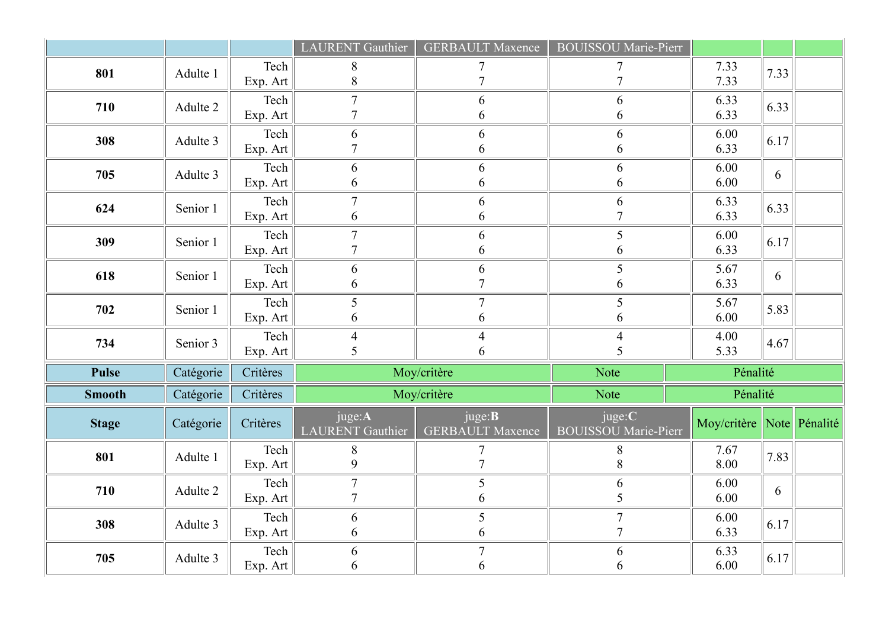|               |           |                                        | LAURENT Gauthier             | <b>GERBAULT Maxence</b>                   | <b>BOUISSOU Marie-Pierr</b>    |                           |      |  |
|---------------|-----------|----------------------------------------|------------------------------|-------------------------------------------|--------------------------------|---------------------------|------|--|
| 801           | Adulte 1  | Tech<br>Exp. Art                       | 8<br>8                       | $\mathcal{I}$                             |                                | 7.33<br>7.33              | 7.33 |  |
| 710           | Adulte 2  | Tech<br>Exp. Art                       | $\mathbf{z}$<br>$\mathbf{r}$ | 6<br>6                                    | 6<br>6                         | 6.33<br>6.33              | 6.33 |  |
| 308           | Adulte 3  | $\text{Techn}$<br>Exp. Art             | 6<br>$\mathbf{r}$            | 6<br>6                                    | 6<br>6                         | 6.00<br>6.33              | 6.17 |  |
| 705           | Adulte 3  | Tech<br>Exp. Art                       | 6<br>6                       | 6<br>6                                    | 6<br>6                         | 6.00<br>6.00              | 6    |  |
| 624           | Senior 1  | Tech<br>Exp. Art                       | $\mathcal{I}$<br>6           | 6<br>6                                    | 6                              | 6.33<br>6.33              | 6.33 |  |
| 309           | Senior 1  | $\text{Techn}$<br>Exp. Art             | $\tau$<br>$\mathbf{r}$       | 6<br>6                                    | 5<br>6                         | 6.00<br>6.33              | 6.17 |  |
| 618           | Senior 1  | Tech<br>Exp. Art                       | 6<br>6                       | $\sqrt{6}$<br>$\overline{7}$              | 5<br>6                         | 5.67<br>6.33              | 6    |  |
| 702           | Senior 1  | $\text{Techn}$<br>Exp. Art             | 5<br>6                       | $\overline{7}$<br>6                       | 5<br>6                         | 5.67<br>6.00              | 5.83 |  |
| 734           | Senior 3  | $\text{Techn}$<br>Exp. Art $\parallel$ | $\overline{4}$<br>5          | $\overline{4}$<br>6                       | 5                              | 4.00<br>5.33              | 4.67 |  |
| Pulse         | Catégorie | Critères                               |                              | Moy/critère                               | Note                           | Pénalité                  |      |  |
| <b>Smooth</b> | Catégorie | Critères                               |                              | Moy/critère                               | Note                           | Pénalité                  |      |  |
| <b>Stage</b>  | Catégorie | Critères                               | juge:A<br>LAURENT Gauthier   | juge: <b>B</b><br><b>GERBAULT</b> Maxence | juge:C<br>BOUISSOU Marie-Pierr | Moy/critère Note Pénalité |      |  |
| 801           | Adulte 1  | $\text{Techn}$<br>Exp. Art             | 8<br>9                       | $\tau$<br>$\overline{7}$                  | 8<br>$8\phantom{.}$            | 7.67<br>8.00              | 7.83 |  |
| 710           | Adulte 2  | $\text{Techn}$<br>Exp. Art             | $\tau$<br>$\overline{7}$     | $\mathfrak{S}$<br>6                       | 6<br>5                         | 6.00<br>6.00              | 6    |  |
| 308           | Adulte 3  | $\text{Techn}$<br>Exp. Art             | 6<br>6                       | 5<br>6                                    | $\overline{7}$                 | 6.00<br>6.33              | 6.17 |  |
|               |           | $\text{Techn}$                         |                              |                                           |                                |                           |      |  |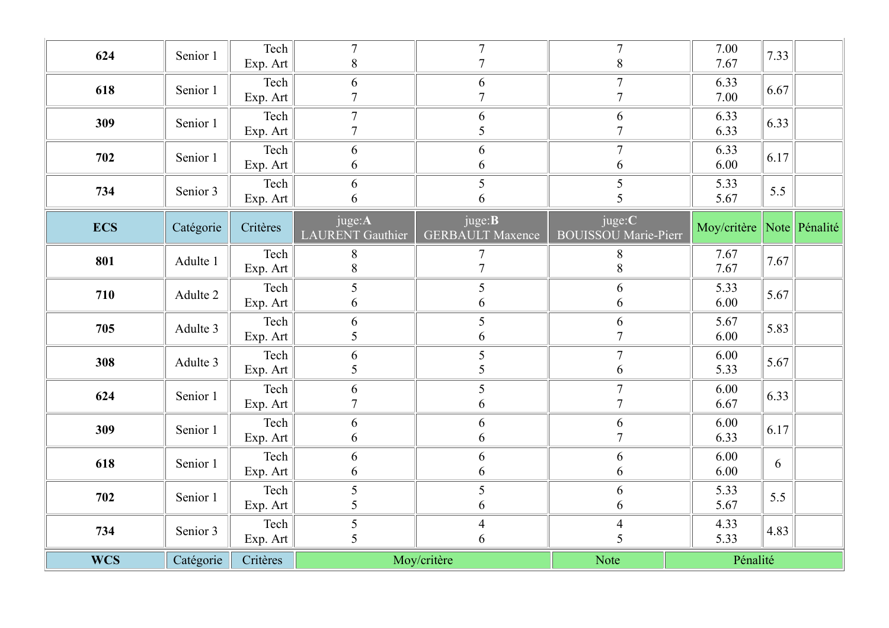| <b>WCS</b> | Catégorie | Critères                   | Moy/critère                       |                                           | Note                                  | Pénalité                                    |              |  |
|------------|-----------|----------------------------|-----------------------------------|-------------------------------------------|---------------------------------------|---------------------------------------------|--------------|--|
| 734        | Senior 3  | $\text{Techn}$<br>Exp. Art | 5<br>5                            | $\overline{4}$<br>6                       | 5                                     | 4.33<br>5.33                                | 4.83         |  |
| 702        | Senior 1  | $\text{Techn}$<br>Exp. Art | 5<br>5                            | $\mathfrak{S}$<br>6                       | 6<br>6                                | 5.33<br>5.67                                | 5.5          |  |
| 618        | Senior 1  | $\text{Techn}$<br>Exp. Art | 6<br>$\boldsymbol{6}$             | 6<br>6                                    | 6<br>6                                | 6.00<br>6.00                                | 6            |  |
| 309        | Senior 1  | $\text{Techn}$<br>Exp. Art | 6<br>6                            | 6<br>6                                    | 6<br>$\overline{7}$                   | 6.00<br>6.33                                | 6.17         |  |
| 624        | Senior 1  | Tech<br>Exp. Art           | 6<br>$\overline{7}$               | 5<br>6                                    | $\mathcal{I}$                         | 6.00<br>6.67                                | 6.33         |  |
| 308        | Adulte 3  | Tech<br>Exp. Art           | 6<br>5                            | $\mathfrak{S}$<br>5                       | $\overline{7}$<br>6                   | 6.00<br>5.33                                | 5.67         |  |
| 705        | Adulte 3  | Tech<br>Exp. Art           | 6<br>5                            | $\mathfrak{S}$<br>6                       | 6                                     | 5.67<br>6.00                                | 5.83         |  |
| 710        | Adulte 2  | Tech<br>Exp. Art           | 5<br>6                            | 5<br>6                                    | 6<br>6                                | 5.33<br>6.00                                | $\vert$ 5.67 |  |
| 801        | Adulte 1  | Tech<br>Exp. Art           | $8\phantom{.}$<br>$8\,$           | $\overline{7}$                            | 8<br>8                                | 7.67<br>7.67                                | 7.67         |  |
| <b>ECS</b> | Catégorie | Critères                   | juge:A<br>LAURENT Gauthier        | juge: <b>B</b><br><b>GERBAULT Maxence</b> | juge:C<br><b>BOUISSOU Marie-Pierr</b> | Moy/critère Note Pénalité                   |              |  |
| 734        | Senior 3  | Tech<br>Exp. Art           | 6<br>6                            | 5<br>6                                    | 5                                     | 5.33<br>5.67                                | 5.5          |  |
| 702        | Senior 1  | Tech<br>Exp. Art           | 6<br>6                            | 6<br>6                                    | $\overline{7}$<br>6                   | 6.33<br>6.00                                | 6.17         |  |
| 309        | Senior 1  | Tech<br>Exp. Art           | $7\phantom{.0}$<br>$\overline{7}$ | 6<br>5                                    | 6<br>$\overline{7}$                   | 6.33<br>6.33                                | 6.33         |  |
| 618        | Senior 1  | Tech<br>Exp. Art           | 6<br>$\overline{7}$               | 6<br>$\mathbf{z}$                         | $\tau$                                | 6.33<br>7.00                                | 6.67         |  |
| 624        | Senior 1  | Tech<br>Exp. Art           | $\tau$<br>$8\phantom{.}$          | $\tau$<br>$\overline{7}$                  | $\overline{7}$<br>8                   | $\begin{array}{c} 7.00 \\ 7.67 \end{array}$ | 7.33         |  |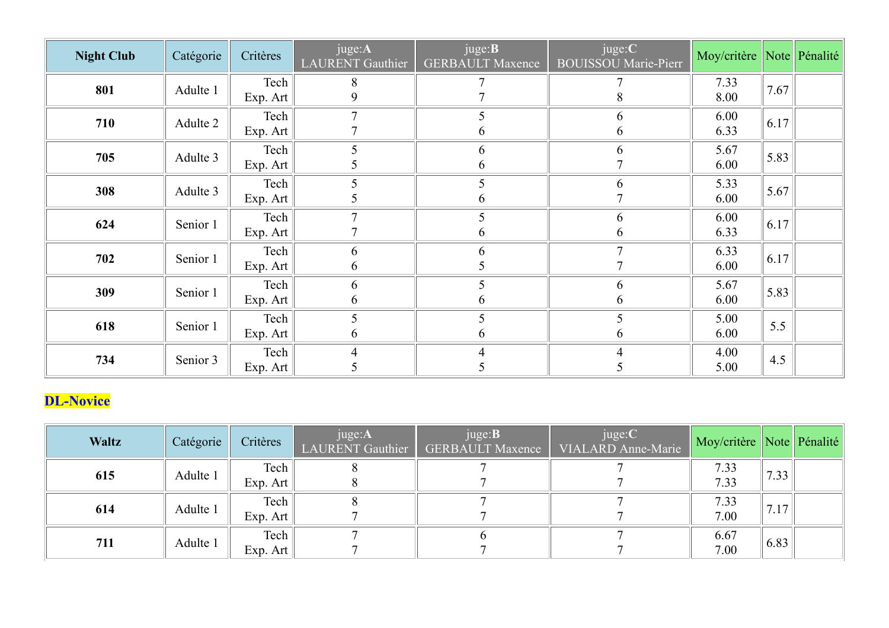| <b>Night Club</b> | Catégorie | Critères                   | juge:A<br>LAURENT Gauthier       | juge: <b>B</b><br><b>GERBAULT Maxence</b> | juge:C<br><b>BOUISSOU Marie-Pierr</b> | Moy/critère Note Pénalité |      |  |
|-------------------|-----------|----------------------------|----------------------------------|-------------------------------------------|---------------------------------------|---------------------------|------|--|
| 801               | Adulte 1  | Tech<br>Exp. Art           | 8<br>9                           | $\tau$                                    | $\,8\,$                               | 7.33<br>8.00              | 7.67 |  |
| 710               | Adulte 2  | Tech<br>Exp. Art           | $\overline{7}$<br>$\overline{7}$ | 5<br>6                                    | 6<br>6                                | 6.00<br>6.33              | 6.17 |  |
| 705               | Adulte 3  | Tech<br>Exp. Art           | 5<br>5                           | 6<br>6                                    | 6                                     | 5.67<br>6.00              | 5.83 |  |
| 308               | Adulte 3  | Tech<br>Exp. Art           | 5<br>5                           | 5<br>6                                    | 6<br>$\mathbf{r}$                     | 5.33<br>6.00              | 5.67 |  |
| 624               | Senior 1  | Tech<br>Exp. Art           | $\overline{7}$<br>$\overline{7}$ | 5<br>6                                    | 6<br>6                                | 6.00<br>6.33              | 6.17 |  |
| 702               | Senior 1  | Tech<br>Exp. Art           | 6<br>6                           | 6<br>5                                    | $\overline{7}$<br>$\overline{7}$      | 6.33<br>6.00              | 6.17 |  |
| 309               | Senior 1  | Tech<br>Exp. Art           | 6<br>6                           | $\mathfrak{S}$<br>6                       | 6<br>6                                | 5.67<br>6.00              | 5.83 |  |
| 618               | Senior 1  | $\text{Techn}$<br>Exp. Art | $\mathfrak{S}$<br>$\sqrt{6}$     | $\mathfrak{S}$<br>6                       | $\overline{\mathcal{L}}$<br>6         | 5.00<br>6.00              | 5.5  |  |
| 734               | Senior 3  | Tech<br>Exp. Art           | $\overline{4}$<br>5              | $\overline{4}$<br>5                       | 5                                     | 4.00<br>5.00              | 4.5  |  |
| <b>DL-Novice</b>  |           |                            |                                  |                                           |                                       |                           |      |  |
| Waltz             | Catégorie | Critères                   | juge:A<br>LAURENT Gauthier       | juge: <b>B</b><br><b>GERBAULT Maxence</b> | juge:C<br>VIALARD Anne-Marie          | Moy/critère Note Pénalité |      |  |
| 615               | Adulte 1  | Tech<br>Exp. Art           | $\,8\,$<br>$\,8\,$               | 7<br>$\overline{7}$                       | $\overline{7}$                        | 7.33<br>7.33              | 7.33 |  |
| 614               | Adulte 1  | Tech                       | $8\,$                            | $\overline{7}$                            | $\overline{7}$                        | 7.33                      | 7.17 |  |

## DL-Novice

| <b>Waltz</b> | Catégorie | Critères | juge:A<br>LAURENT Gauthier | juge: <b>B</b><br><b>GERBAULT Maxence</b> | juge:C<br>VIALARD Anne-Marie | Moy/critère Note Pénalité |      |  |
|--------------|-----------|----------|----------------------------|-------------------------------------------|------------------------------|---------------------------|------|--|
| 615          | Adulte 1  | Tech     |                            |                                           |                              | 7.33                      | 7.33 |  |
|              |           | Exp. Art |                            |                                           |                              | 7.33                      |      |  |
| 614          | Adulte 1  | Tech     |                            |                                           |                              | 7.33                      | 7.17 |  |
|              |           | Exp. Art |                            |                                           |                              | 7.00                      |      |  |
| 711          | Adulte 1  | Tech     |                            |                                           |                              | 6.67                      | 6.83 |  |
|              |           | Exp. Art |                            |                                           |                              | 7.00                      |      |  |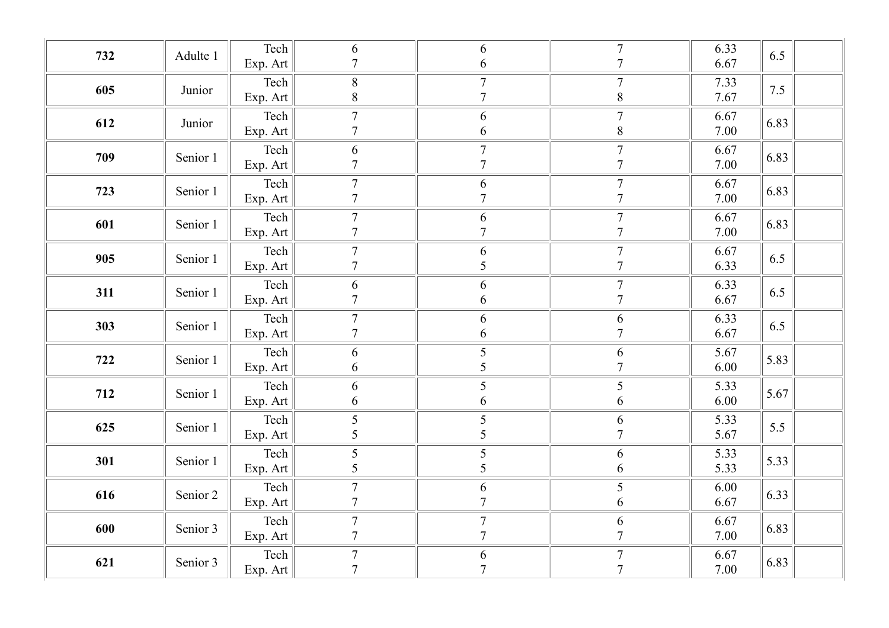| 732 | Adulte 1 | $\text{Techn}$ | 6                | 6                | $\overline{7}$   | 6.33 | 6.5  |
|-----|----------|----------------|------------------|------------------|------------------|------|------|
|     |          | Exp. Art       | $\overline{7}$   | 6                | $\overline{7}$   | 6.67 |      |
| 605 | Junior   | Tech           | $\, 8$           | $\boldsymbol{7}$ | $\boldsymbol{7}$ | 7.33 | 7.5  |
|     |          | Exp. Art       | $8\,$            | $\overline{7}$   | $\,8\,$          | 7.67 |      |
|     |          | Tech           | $\boldsymbol{7}$ | $\sqrt{6}$       | $\overline{7}$   | 6.67 | 6.83 |
| 612 | Junior   | Exp. Art       | $\overline{7}$   | $\sqrt{6}$       | $\,8\,$          | 7.00 |      |
|     |          | Tech           | $\sqrt{6}$       | $\boldsymbol{7}$ | $\boldsymbol{7}$ | 6.67 |      |
| 709 | Senior 1 | Exp. Art       | $\tau$           | $\overline{7}$   | $\overline{7}$   | 7.00 | 6.83 |
|     |          | Tech           | $\boldsymbol{7}$ | $\sqrt{6}$       | $\boldsymbol{7}$ | 6.67 |      |
| 723 | Senior 1 | Exp. Art       | $\boldsymbol{7}$ | $\overline{7}$   | $\tau$           | 7.00 | 6.83 |
|     |          | Tech           | $\boldsymbol{7}$ | $\sqrt{6}$       | $\boldsymbol{7}$ | 6.67 |      |
| 601 | Senior 1 | Exp. Art       | $\overline{7}$   | $\overline{7}$   | $\overline{7}$   | 7.00 | 6.83 |
|     |          | Tech           | $\boldsymbol{7}$ | 6                | $\boldsymbol{7}$ | 6.67 |      |
| 905 | Senior 1 | Exp. Art       | $\boldsymbol{7}$ | $\mathfrak{S}$   | $\overline{7}$   | 6.33 | 6.5  |
|     |          | Tech           | 6                | $\sqrt{6}$       | $\boldsymbol{7}$ | 6.33 |      |
| 311 | Senior 1 | Exp. Art       | $\tau$           | 6                | $\overline{7}$   | 6.67 | 6.5  |
|     |          | Tech           | $\boldsymbol{7}$ | $\sqrt{6}$       | 6                | 6.33 |      |
| 303 | Senior 1 | Exp. Art       | $\tau$           | $\sqrt{6}$       | $\overline{7}$   | 6.67 | 6.5  |
|     |          | Tech           | $\sqrt{6}$       | $\mathfrak{S}$   | $\sqrt{6}$       | 5.67 |      |
| 722 | Senior 1 | Exp. Art       | 6                | 5                | $\overline{7}$   | 6.00 | 5.83 |
|     |          | Tech           | 6                | 5                | $\sqrt{5}$       | 5.33 |      |
| 712 | Senior 1 | Exp. Art       | 6                | $\sqrt{6}$       | 6                | 6.00 | 5.67 |
|     |          | Tech           | 5                |                  | 6                | 5.33 |      |
| 625 | Senior 1 | Exp. Art       | 5                | $\frac{5}{5}$    | $\overline{7}$   | 5.67 | 5.5  |
|     |          | Tech           | 5                | $\mathfrak{S}$   | 6                | 5.33 |      |
| 301 | Senior 1 | Exp. Art       | $\sqrt{5}$       | 5                | 6                | 5.33 | 5.33 |
|     |          | Tech           | $\boldsymbol{7}$ | 6                | 5                | 6.00 | 6.33 |
| 616 | Senior 2 | Exp. Art       | $\overline{7}$   | $\overline{7}$   | 6                | 6.67 |      |
| 600 |          | Tech           | $\boldsymbol{7}$ | $\boldsymbol{7}$ | 6                | 6.67 | 6.83 |
|     | Senior 3 | Exp. Art       | $\boldsymbol{7}$ | $\overline{7}$   | $\overline{7}$   | 7.00 |      |
| 621 | Senior 3 | Tech           | $\boldsymbol{7}$ | $\sqrt{6}$       | $\boldsymbol{7}$ | 6.67 | 6.83 |
|     |          | Exp. Art       | $\overline{7}$   | $\overline{7}$   | $\overline{7}$   | 7.00 |      |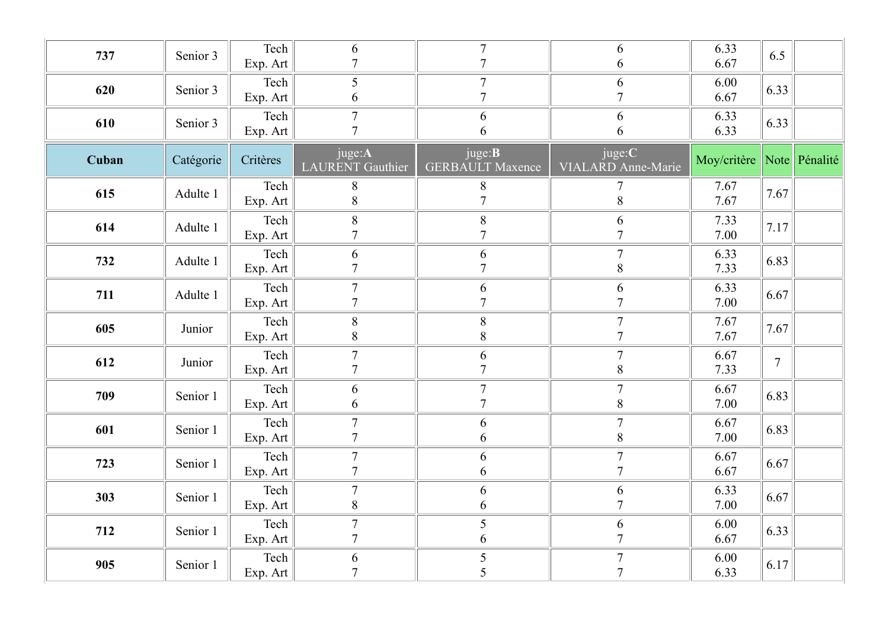| 737   | Senior 3  | Tech<br>Exp. Art           | 6<br>$\overline{7}$                            | $\overline{7}$<br>$\tau$                  | 6<br>6                                     | 6.33<br>6.67              | 6.5              |  |
|-------|-----------|----------------------------|------------------------------------------------|-------------------------------------------|--------------------------------------------|---------------------------|------------------|--|
| 620   | Senior 3  | Tech<br>Exp. Art           | $5\overline{)}$<br>6                           | $\tau$<br>$\overline{7}$                  | $6\,$<br>$\overline{7}$                    | 6.00<br>6.67              | 6.33             |  |
| 610   | Senior 3  | Tech<br>Exp. Art           | $\overline{7}$<br>$\overline{7}$               | $\sqrt{6}$<br>6                           | 6<br>6                                     | 6.33<br>6.33              | 6.33             |  |
| Cuban | Catégorie | Critères                   | juge:A<br>LAURENT Gauthier                     | juge: <b>B</b><br><b>GERBAULT Maxence</b> | juge:C<br>VIALARD Anne-Marie               | Moy/critère Note Pénalité |                  |  |
| 615   | Adulte 1  | Tech<br>Exp. Art           | 8<br>$\, 8$                                    | $8\phantom{.}$<br>$\overline{7}$          | 8                                          | 7.67<br>7.67              | 7.67             |  |
| 614   | Adulte 1  | Tech<br>Exp. Art           | $\, 8$<br>$\overline{7}$                       | $\, 8$<br>$\overline{7}$                  | 6<br>$\overline{7}$                        | 7.33<br>7.00              | 7.17             |  |
| 732   | Adulte 1  | Tech<br>Exp. Art           | $\sqrt{6}$<br>$\overline{7}$                   | $\sqrt{6}$<br>$\overline{7}$              | $\overline{7}$<br>$8\,$                    | 6.33<br>7.33              | 6.83             |  |
| 711   | Adulte 1  | Tech                       | $\overline{7}$<br>$\overline{7}$               | 6<br>$\overline{7}$                       | 6<br>$\overline{7}$                        | 6.33<br>7.00              | 6.67             |  |
| 605   | Junior    | Exp. Art<br>Tech           | $\,8\,$<br>$\,8\,$                             | $8\,$<br>$\,8\,$                          | $\overline{7}$<br>$\tau$                   | 7.67<br>7.67              | 7.67             |  |
| 612   | Junior    | Exp. Art<br>Tech           | $\overline{7}$<br>$7\phantom{.0}$              | $6\,$<br>$7\phantom{.0}$                  | $\overline{7}$<br>$8\,$                    | 6.67<br>7.33              | $\boldsymbol{7}$ |  |
| 709   | Senior 1  | Exp. Art<br>Tech           | 6                                              | $\boldsymbol{7}$<br>$\overline{7}$        | $\tau$                                     | 6.67                      | 6.83             |  |
| 601   | Senior 1  | Exp. Art<br>Tech           | $\sqrt{6}$<br>$\overline{7}$<br>$\overline{7}$ | $\sqrt{6}$                                | $8\,$<br>$\boldsymbol{7}$                  | 7.00<br>6.67              | 6.83             |  |
| 723   | Senior 1  | Exp. Art<br>$\text{Techn}$ | $\overline{7}$<br>$\overline{7}$               | $\sqrt{6}$<br>$\sqrt{6}$                  | $\, 8$<br>$\overline{7}$<br>$\overline{7}$ | 7.00<br>6.67              | 6.67             |  |
| 303   | Senior 1  | Exp. Art<br>Tech           | $7\phantom{.0}$                                | $\sqrt{6}$<br>$\boldsymbol{6}$            | $\sqrt{6}$                                 | 6.67<br>6.33              | 6.67             |  |
| 712   | Senior 1  | Exp. Art<br>Tech           | $\,8\,$<br>$\overline{7}$                      | $\sqrt{6}$<br>$\sqrt{5}$                  | $\overline{7}$<br>$\sqrt{6}$               | 7.00<br>6.00              | 6.33             |  |
| 905   | Senior 1  | Exp. Art<br>$\text{Techn}$ | $\overline{7}$<br>$\boldsymbol{6}$             | $\sqrt{6}$<br>$\sqrt{5}$                  | $\overline{7}$<br>$\tau$                   | 6.67<br>6.00              | 6.17             |  |
|       |           | Exp. Art $\ $              | $\overline{7}$                                 | 5                                         | $\overline{7}$                             | 6.33                      |                  |  |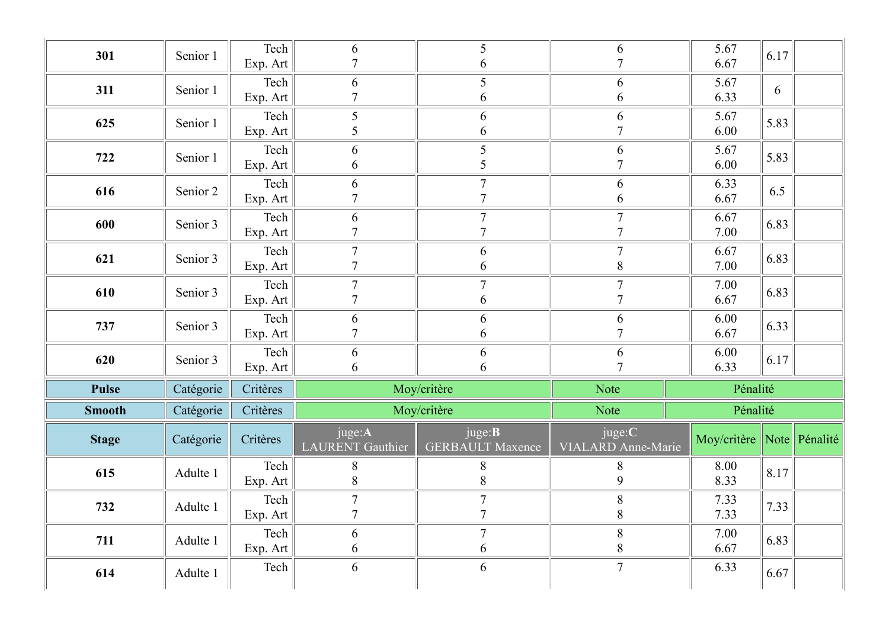| 301           | Senior 1  | Tech<br>Exp. Art | 6<br>$\overline{7}$                | 5<br>6                                    |                              | 5.67<br>6.67              | 6.17         |  |  |
|---------------|-----------|------------------|------------------------------------|-------------------------------------------|------------------------------|---------------------------|--------------|--|--|
| 311           | Senior 1  | Tech<br>Exp. Art | 6<br>7                             | 5<br>6                                    | 6<br>$\mathfrak b$           | 5.67<br>6.33              | 6            |  |  |
| 625           | Senior 1  | Tech<br>Exp. Art | 5<br>5                             | 6<br>6                                    | 6                            | 5.67<br>6.00              | 5.83         |  |  |
| 722           | Senior 1  | Tech<br>Exp. Art | 6<br>6                             | 5<br>5                                    | 6                            | 5.67<br>6.00              | 5.83         |  |  |
| 616           | Senior 2  | Tech<br>Exp. Art | 6<br>7                             | $\overline{7}$<br>$\overline{7}$          | 6<br>6                       | 6.33<br>6.67              | 6.5          |  |  |
| 600           | Senior 3  | Tech<br>Exp. Art | 6<br>$\overline{7}$                | $\overline{7}$<br>$\mathbf{r}$            | $\mathcal{I}$                | 6.67<br>7.00              | 6.83         |  |  |
| 621           | Senior 3  | Tech<br>Exp. Art | $\tau$<br>$\overline{7}$           | 6<br>6                                    | $\mathcal{I}$<br>8           | 6.67<br>7.00              | 6.83         |  |  |
| 610           | Senior 3  | Tech<br>Exp. Art | $\overline{7}$<br>7                | $\tau$<br>6                               | $\mathbf{r}$                 | 7.00<br>6.67              | 6.83         |  |  |
| 737           | Senior 3  | Tech<br>Exp. Art | 6<br>$\overline{7}$                | 6<br>6                                    | 6                            | 6.00<br>6.67              | 6.33         |  |  |
| 620           | Senior 3  | Tech<br>Exp. Art | 6<br>6                             | 6<br>6                                    | 6<br>Ξ                       | 6.00<br>6.33              | 6.17         |  |  |
| <b>Pulse</b>  | Catégorie | Critères         |                                    | Moy/critère                               | Note                         | Pénalité                  |              |  |  |
| <b>Smooth</b> | Catégorie | Critères         |                                    | Moy/critère                               | Note                         | Pénalité                  |              |  |  |
| <b>Stage</b>  | Catégorie | Critères         | juge:A<br><b>LAURENT</b> Gauthier  | juge: <b>B</b><br><b>GERBAULT Maxence</b> | juge:C<br>VIALARD Anne-Marie | Moy/critère Note Pénalité |              |  |  |
| 615           | Adulte 1  | Tech<br>Exp. Art | 8<br>$8\,$                         | 8<br>$8\,$                                | 8<br>9                       | 8.00<br>8.33              | 8.17         |  |  |
| 732           | Adulte 1  | Tech<br>Exp. Art | $\boldsymbol{7}$<br>$\overline{ }$ | $\overline{7}$<br>$\overline{ }$          | 8<br>8                       | 7.33<br>7.33              | $\vert$ 7.33 |  |  |
| 711           | Adulte 1  | Tech<br>Exp. Art | 6<br>6                             | $\overline{7}$<br>6                       | $8\phantom{.}$<br>$8\,$      | 7.00<br>6.67              | 6.83         |  |  |
| 614           | Adulte 1  | Tech             | 6                                  | 6                                         | $7\phantom{.0}$              | 6.33                      | 6.67         |  |  |
|               |           |                  |                                    |                                           |                              |                           |              |  |  |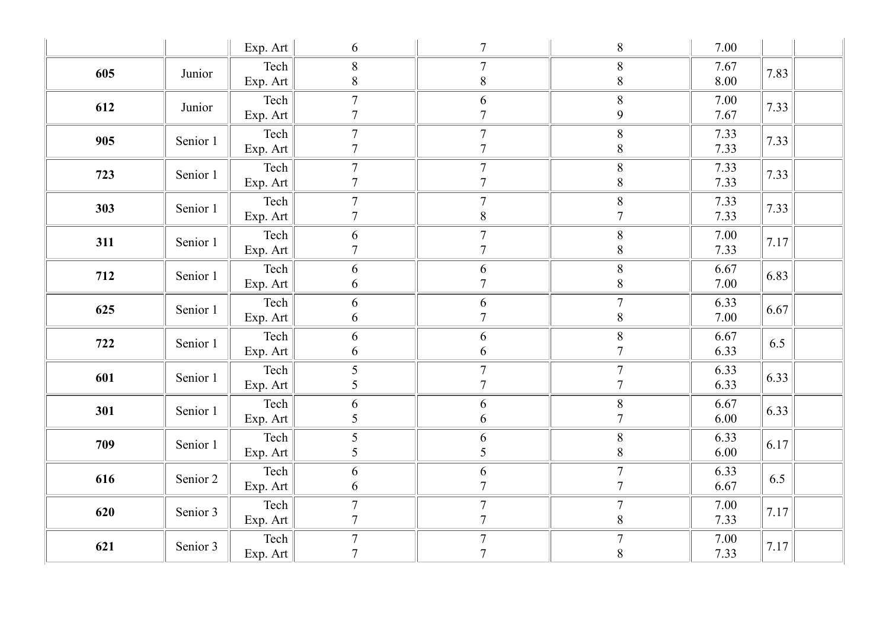|     |          | Exp. Art                                           | 6                                  | $7\phantom{.0}$                    | $8\,$                                              | 7.00         |      |
|-----|----------|----------------------------------------------------|------------------------------------|------------------------------------|----------------------------------------------------|--------------|------|
| 605 | Junior   | Tech<br>Exp. Art                                   | $8\,$<br>8                         | $\overline{7}$<br>$8\,$            | $\, 8$<br>$8\,$                                    | 7.67<br>8.00 | 7.83 |
| 612 | Junior   | Tech<br>Exp. Art                                   | $\overline{7}$<br>$\overline{7}$   | 6<br>$\overline{7}$                | $\,8\,$<br>$\overline{9}$                          | 7.00<br>7.67 | 7.33 |
| 905 | Senior 1 | Tech<br>Exp. Art                                   | $\overline{7}$<br>$\overline{7}$   | $\overline{7}$<br>$\overline{7}$   | $\,8\,$<br>$8\,$                                   | 7.33<br>7.33 | 7.33 |
| 723 | Senior 1 | Tech<br>Exp. Art                                   | $\overline{7}$<br>$\overline{7}$   | $\overline{7}$<br>$\overline{7}$   | $\, 8$<br>$8\,$                                    | 7.33<br>7.33 | 7.33 |
| 303 | Senior 1 | Tech<br>Exp. Art                                   | $\overline{7}$<br>$\tau$           | $\overline{7}$<br>$\, 8$           | $\,8\,$<br>$\overline{7}$                          | 7.33<br>7.33 | 7.33 |
| 311 | Senior 1 | Tech<br>Exp. Art $\parallel$                       | 6<br>$\overline{7}$                | $\overline{7}$<br>$\mathbf{r}$     | $\, 8$<br>$\, 8$                                   | 7.00<br>7.33 | 7.17 |
| 712 | Senior 1 | $\text{Techn}$<br>Exp. Art                         | 6<br>6                             | $6\,$<br>$\overline{7}$            | $\, 8$<br>$8\,$                                    | 6.67<br>7.00 | 6.83 |
| 625 | Senior 1 | $\text{Techn}$<br>Exp. Art                         | 6<br>6                             | $\boldsymbol{6}$<br>$\overline{7}$ | $\boldsymbol{7}$<br>$\,8\,$                        | 6.33<br>7.00 | 6.67 |
| 722 | Senior 1 | $\text{Techn}$<br>Exp. Art                         | 6<br>6                             | $\sqrt{6}$<br>$6\,$                | $8\,$<br>$\overline{7}$                            | 6.67<br>6.33 | 6.5  |
| 601 | Senior 1 | $\text{Techn}$<br>Exp. Art                         | 5<br>5                             | $\overline{7}$<br>$\overline{7}$   | $\boldsymbol{7}$<br>$\overline{7}$                 | 6.33<br>6.33 | 6.33 |
| 301 | Senior 1 | $\text{Techn}$<br>Exp. Art                         | 6<br>5                             | $6\,$<br>$\sqrt{6}$                | $\begin{array}{c}\n\overline{8} \\ 7\n\end{array}$ | 6.67<br>6.00 | 6.33 |
| 709 | Senior 1 | $\text{Techn}$<br>Exp. Art                         | $\mathfrak{S}$<br>$\mathfrak{S}$   | $\sqrt{6}$<br>$\mathfrak{S}$       | $8\,$<br>$\,8\,$                                   | 6.33<br>6.00 | 6.17 |
| 616 | Senior 2 | $\text{Techn}$<br>Exp. Art                         | 6<br>6                             | $\frac{6}{7}$                      | $\boldsymbol{7}$<br>$\overline{7}$                 | 6.33<br>6.67 | 6.5  |
| 620 | Senior 3 | $\text{Techn}$<br>$\boxed{\text{Exp.} \text{Art}}$ | $\overline{7}$<br>$\overline{7}$   | $\overline{7}$<br>$\overline{7}$   | $\overline{7}$<br>$\, 8$                           | 7.00<br>7.33 | 7.17 |
| 621 | Senior 3 | $\text{Techn}$<br>Exp. Art                         | $\boldsymbol{7}$<br>$\overline{7}$ | $\boldsymbol{7}$<br>$\overline{7}$ | $7\phantom{.0}$<br>$\,8\,$                         | 7.00<br>7.33 | 7.17 |
|     |          |                                                    |                                    |                                    |                                                    |              |      |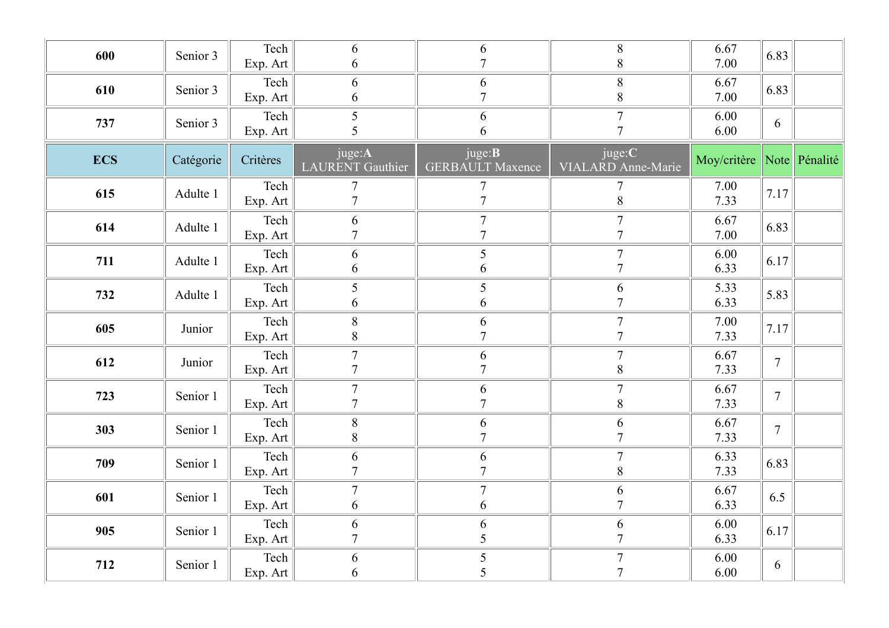| 600        | Senior 3  | Tech<br>Exp. Art                | 6<br>$\sqrt{6}$                   | 6<br>$\overline{7}$                       | $8\phantom{.}$<br>$\,8\,$        | 6.67<br>7.00              | 6.83           |  |
|------------|-----------|---------------------------------|-----------------------------------|-------------------------------------------|----------------------------------|---------------------------|----------------|--|
| 610        | Senior 3  | Tech<br>Exp. Art                | $\boldsymbol{6}$<br>6             | 6<br>$\overline{7}$                       | $8\,$<br>$\,8\,$                 | 6.67<br>7.00              | 6.83           |  |
| 737        | Senior 3  | Tech<br>Exp. Art                | 5<br>$\overline{\mathcal{L}}$     | $\sqrt{6}$<br>6                           | $\overline{7}$<br>$\overline{7}$ | 6.00<br>6.00              | 6              |  |
| <b>ECS</b> | Catégorie | Critères                        | juge:A<br>LAURENT Gauthier        | juge: <b>B</b><br><b>GERBAULT Maxence</b> | juge:C<br>VIALARD Anne-Marie     | Moy/critère Note Pénalité |                |  |
| 615        | Adulte 1  | Tech<br>Exp. Art                | $\overline{7}$<br>$\overline{7}$  | $\overline{7}$<br>$\overline{7}$          | 8                                | 7.00<br>7.33              | 7.17           |  |
| 614        | Adulte 1  | Tech<br>Exp. Art                | 6<br>$\overline{7}$               | $\overline{7}$<br>$\overline{7}$          | $\overline{7}$<br>$\tau$         | 6.67<br>7.00              | 6.83           |  |
| 711        | Adulte 1  | Tech<br>Exp. Art                | 6<br>6                            | $\mathfrak{S}$<br>$\sqrt{6}$              | $\overline{7}$<br>$\overline{7}$ | 6.00<br>6.33              | 6.17           |  |
| 732        | Adulte 1  | Tech<br>Exp. Art                | 5<br>$\sqrt{6}$                   | $\mathfrak{S}$<br>6                       | 6<br>$\overline{7}$              | 5.33<br>6.33              | 5.83           |  |
| 605        | Junior    | Tech<br>Exp. Art                | $\, 8$<br>$\,8\,$                 | $\sqrt{6}$<br>$\overline{7}$              | $\overline{7}$<br>$\tau$         | 7.00<br>7.33              | 7.17           |  |
| 612        | Junior    | Tech<br>Exp. Art                | $\overline{7}$<br>$7\phantom{.0}$ | 6<br>$\overline{7}$                       | $\overline{7}$<br>$8\,$          | 6.67<br>7.33              | $\overline{7}$ |  |
| 723        | Senior 1  | Tech<br>Exp. Art                | $7\phantom{.0}$<br>$\overline{7}$ | $6\,$<br>$\overline{7}$                   | $\overline{7}$<br>$8\,$          | 6.67<br>7.33              | $\overline{7}$ |  |
| 303        | Senior 1  | Tech<br>Exp. Art                | $\, 8$<br>$8\,$                   | $\sqrt{6}$<br>$\overline{7}$              | $\sqrt{6}$<br>$\overline{7}$     | 6.67<br>7.33              | $\overline{7}$ |  |
| 709        | Senior 1  | $\text{Techn}$<br>Exp. Art      | $6\,$<br>$\overline{7}$           | $\sqrt{6}$<br>$\overline{7}$              | $\overline{7}$<br>$8\,$          | 6.33<br>7.33              | 6.83           |  |
| 601        | Senior 1  | Tech<br>Exp. Art                | $7\phantom{.0}$<br>6              | $\boldsymbol{7}$<br>$\sqrt{6}$            | $\sqrt{6}$<br>$\overline{7}$     | 6.67<br>6.33              | 6.5            |  |
| 905        | Senior 1  | Tech<br>Exp. Art                | $\sqrt{6}$<br>$\overline{7}$      | $\sqrt{6}$<br>5                           | $\sqrt{6}$<br>$\overline{7}$     | 6.00<br>6.33              | 6.17           |  |
| 712        | Senior 1  | $\text{Techn}$<br>Exp. Art $\ $ | 6<br>6                            | $\mathfrak{S}$<br>5                       | $\tau$<br>$\overline{7}$         | 6.00<br>6.00              | 6              |  |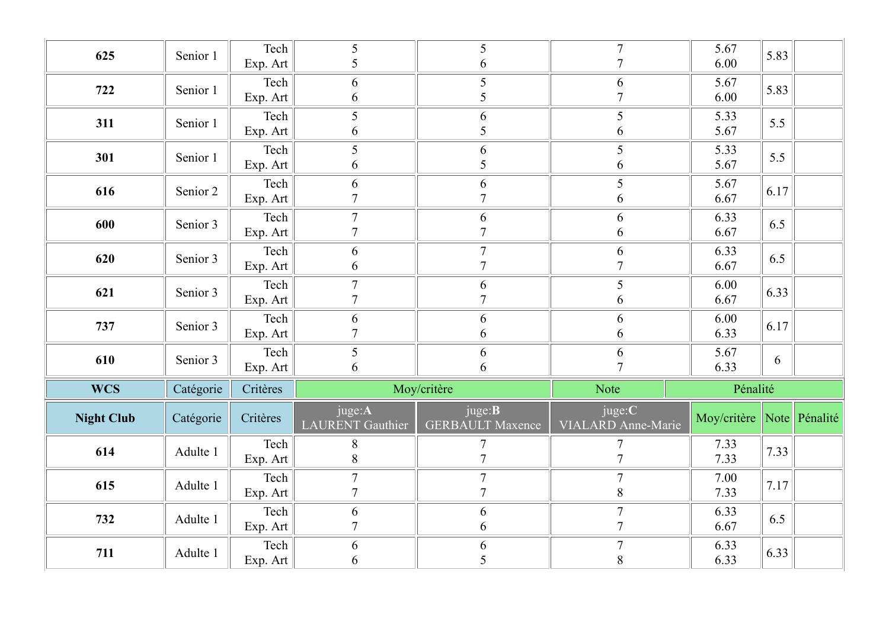| 625               | Senior 1  | Tech             | 5<br>5                            | 5                                         | $\overline{7}$<br>$\overline{7}$ | 5.67<br>6.00              | 5.83 |  |
|-------------------|-----------|------------------|-----------------------------------|-------------------------------------------|----------------------------------|---------------------------|------|--|
|                   |           | Exp. Art<br>Tech | 6                                 | 6<br>5                                    | 6                                | 5.67                      |      |  |
| 722               | Senior 1  | Exp. Art         | 6                                 | 5                                         | $\overline{7}$                   | 6.00                      | 5.83 |  |
| 311               | Senior 1  | Tech             | $\mathfrak{S}$                    | 6                                         | 5                                | 5.33                      | 5.5  |  |
|                   |           | Exp. Art         | 6                                 | 5                                         | 6                                | 5.67                      |      |  |
| 301               | Senior 1  | Tech<br>Exp. Art | $5\overline{)}$<br>6              | 6<br>5                                    | $5\overline{)}$<br>6             | 5.33<br>5.67              | 5.5  |  |
|                   |           | Tech             | 6                                 | 6                                         | 5                                | 5.67                      |      |  |
| 616               | Senior 2  | Exp. Art         | $\overline{7}$                    | $\mathcal{I}$                             | 6                                | 6.67                      | 6.17 |  |
| 600               | Senior 3  | Tech             | $\boldsymbol{7}$                  | 6<br>$\mathcal{I}$                        | 6                                | 6.33                      | 6.5  |  |
|                   |           | Exp. Art         | $\overline{7}$                    | $\tau$                                    | 6                                | 6.67                      |      |  |
| 620               | Senior 3  | Tech<br>Exp. Art | 6<br>6                            | $\overline{7}$                            | 6<br>$\overline{7}$              | 6.33<br>6.67              | 6.5  |  |
| 621               | Senior 3  | Tech             | $\tau$                            | 6                                         | 5                                | 6.00                      | 6.33 |  |
|                   |           | Exp. Art         | $\overline{7}$                    | $\mathcal{I}$                             | 6                                | 6.67                      |      |  |
| 737               | Senior 3  | Tech             | 6<br>$\overline{7}$               | 6                                         | 6                                | 6.00                      | 6.17 |  |
|                   |           | Exp. Art<br>Tech | $5\overline{)}$                   | 6<br>6                                    | 6<br>6                           | 6.33<br>5.67              |      |  |
| 610               | Senior 3  | Exp. Art         | 6                                 | 6                                         | $\overline{ }$                   | 6.33                      | 6    |  |
| <b>WCS</b>        | Catégorie | Critères         | Moy/critère                       |                                           | Note                             | Pénalité                  |      |  |
| <b>Night Club</b> | Catégorie | Critères         | juge:A<br><b>LAURENT</b> Gauthier | juge: <b>B</b><br><b>GERBAULT Maxence</b> | juge:C<br>VIALARD Anne-Marie     | Moy/critère Note Pénalité |      |  |
|                   |           |                  |                                   |                                           |                                  |                           |      |  |
|                   |           | Tech             | $8\phantom{.}$                    | $\tau$                                    | 7                                | 7.33                      |      |  |
| 614               | Adulte 1  | Exp. Art         | 8                                 | $\overline{7}$                            | $\tau$                           | 7.33                      | 7.33 |  |
| 615               | Adulte 1  | Tech             | $\overline{7}$                    | $\overline{7}$<br>$\mathcal{I}$           | $\overline{7}$                   | 7.00                      | 7.17 |  |
|                   |           | Exp. Art         | $\overline{7}$                    |                                           | 8<br>$\overline{7}$              | 7.33                      |      |  |
| 732               | Adulte 1  | Tech<br>Exp. Art | 6<br>$\overline{7}$               | 6<br>6                                    | $\tau$                           | 6.33<br>6.67              | 6.5  |  |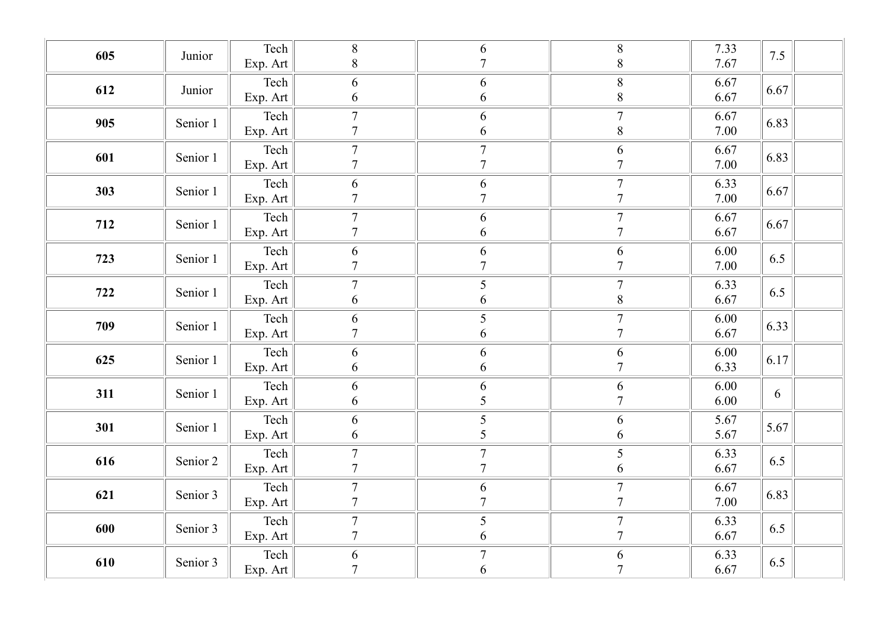| 605 | Junior   | Tech         | $\,8\,$          | $\sqrt{6}$       | $\, 8$           | 7.33 | 7.5  |
|-----|----------|--------------|------------------|------------------|------------------|------|------|
|     |          | Exp. Art     | $8\,$            | $\overline{7}$   | $\,8\,$          | 7.67 |      |
| 612 | Junior   | Tech         | 6                | 6                | $\,8\,$          | 6.67 | 6.67 |
|     |          | Exp. Art     | $\sqrt{6}$       | 6                | $\,8\,$          | 6.67 |      |
| 905 | Senior 1 | Tech         | $\boldsymbol{7}$ | $\sqrt{6}$       | $\boldsymbol{7}$ | 6.67 | 6.83 |
|     |          | Exp. Art $ $ | $\tau$           | $\sqrt{6}$       | $\,8\,$          | 7.00 |      |
| 601 | Senior 1 | Tech         | $\boldsymbol{7}$ | $\boldsymbol{7}$ | $\sqrt{6}$       | 6.67 | 6.83 |
|     |          | Exp. Art     | $\tau$           | $\overline{7}$   | $\overline{7}$   | 7.00 |      |
| 303 | Senior 1 | Tech         | 6                | $\sqrt{6}$       | $\boldsymbol{7}$ | 6.33 | 6.67 |
|     |          | Exp. Art     | $\boldsymbol{7}$ | $\overline{7}$   | $\overline{7}$   | 7.00 |      |
| 712 | Senior 1 | Tech         | $\boldsymbol{7}$ | $\sqrt{6}$       | $\boldsymbol{7}$ | 6.67 | 6.67 |
|     |          | Exp. Art     | $\overline{7}$   | 6                | $\overline{7}$   | 6.67 |      |
| 723 | Senior 1 | Tech         | $\sqrt{6}$       | 6                | 6                | 6.00 | 6.5  |
|     |          | Exp. Art     | $\boldsymbol{7}$ | $\overline{7}$   | $\overline{7}$   | 7.00 |      |
| 722 | Senior 1 | Tech         | $\boldsymbol{7}$ | 5                | $\boldsymbol{7}$ | 6.33 | 6.5  |
|     |          | Exp. Art     | 6                | 6                | $\,8\,$          | 6.67 |      |
| 709 | Senior 1 | Tech         | $\boldsymbol{6}$ | $\mathfrak s$    | $\boldsymbol{7}$ | 6.00 | 6.33 |
|     |          | Exp. Art     | $\overline{7}$   | $\sqrt{6}$       | $\overline{7}$   | 6.67 |      |
| 625 | Senior 1 | Tech         | $\sqrt{6}$       | $\sqrt{6}$       | $\sqrt{6}$       | 6.00 | 6.17 |
|     |          | Exp. Art     | $\sqrt{6}$       | 6                | $\overline{7}$   | 6.33 |      |
| 311 | Senior 1 | Tech         | 6                | $\sqrt{6}$       | 6                | 6.00 | 6    |
|     |          | Exp. Art     | 6                | $\mathfrak{S}$   | $\overline{7}$   | 6.00 |      |
| 301 | Senior 1 | Tech         | 6                | $\frac{1}{5}$    | 6                | 5.67 | 5.67 |
|     |          | Exp. Art     | 6                |                  | 6                | 5.67 |      |
| 616 | Senior 2 | Tech         | $\boldsymbol{7}$ | $\boldsymbol{7}$ | $\overline{5}$   | 6.33 | 6.5  |
|     |          | Exp. Art     | $\boldsymbol{7}$ | $\overline{7}$   | 6                | 6.67 |      |
| 621 | Senior 3 | Tech         | $\tau$           | $\sqrt{6}$       | $\overline{7}$   | 6.67 | 6.83 |
|     |          | Exp. Art     | $\boldsymbol{7}$ | $\overline{7}$   | $\overline{7}$   | 7.00 |      |
| 600 | Senior 3 | Tech         | $\boldsymbol{7}$ | $\mathfrak{S}$   | $\boldsymbol{7}$ | 6.33 | 6.5  |
|     |          | Exp. Art     | $\boldsymbol{7}$ | 6                | $\overline{7}$   | 6.67 |      |
| 610 | Senior 3 | Tech         | $\boldsymbol{6}$ | $\boldsymbol{7}$ | 6                | 6.33 | 6.5  |
|     |          | Exp. Art     | $\overline{7}$   | 6                | $\overline{7}$   | 6.67 |      |